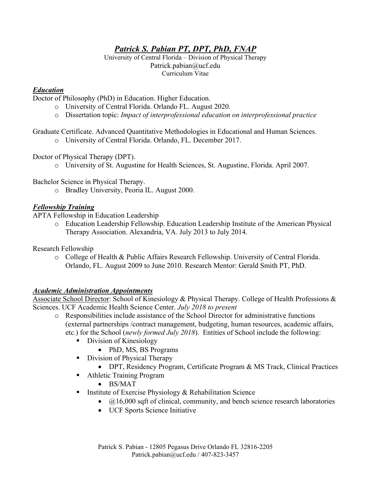# *Patrick S. Pabian PT, DPT, PhD, FNAP*

University of Central Florida – Division of Physical Therapy Patrick.pabian@ucf.edu Curriculum Vitae

### *Education*

Doctor of Philosophy (PhD) in Education. Higher Education.

- o University of Central Florida. Orlando FL. August 2020.
- o Dissertation topic: *Impact of interprofessional education on interprofessional practice*

Graduate Certificate. Advanced Quantitative Methodologies in Educational and Human Sciences.

o University of Central Florida. Orlando, FL. December 2017.

Doctor of Physical Therapy (DPT).

o University of St. Augustine for Health Sciences, St. Augustine, Florida. April 2007.

Bachelor Science in Physical Therapy.

o Bradley University, Peoria IL. August 2000.

#### *Fellowship Training*

APTA Fellowship in Education Leadership

o Education Leadership Fellowship. Education Leadership Institute of the American Physical Therapy Association. Alexandria, VA. July 2013 to July 2014.

Research Fellowship

o College of Health & Public Affairs Research Fellowship. University of Central Florida. Orlando, FL. August 2009 to June 2010. Research Mentor: Gerald Smith PT, PhD.

#### *Academic Administration Appointments*

Associate School Director: School of Kinesiology & Physical Therapy. College of Health Professions & Sciences. UCF Academic Health Science Center. *July 2018 to present*

- o Responsibilities include assistance of the School Director for administrative functions (external partnerships /contract management, budgeting, human resources, academic affairs, etc.) for the School (*newly formed July 2018*). Entities of School include the following:
	- Division of Kinesiology
		- PhD, MS, BS Programs
	- **Division of Physical Therapy** 
		- DPT, Residency Program, Certificate Program & MS Track, Clinical Practices
	- **-** Athletic Training Program
		- BS/MAT
	- **Institute of Exercise Physiology & Rehabilitation Science** 
		- $(a)$ 16,000 sqft of clinical, community, and bench science research laboratories
		- UCF Sports Science Initiative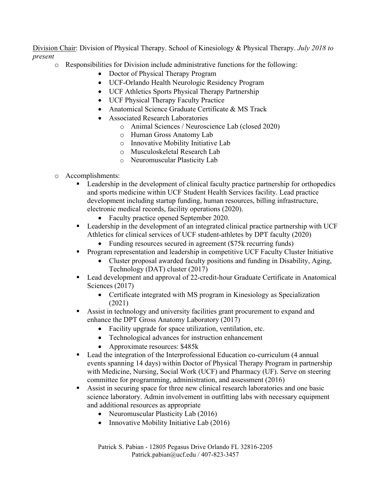Division Chair: Division of Physical Therapy. School of Kinesiology & Physical Therapy. *July 2018 to present*

- o Responsibilities for Division include administrative functions for the following:
	- Doctor of Physical Therapy Program
	- UCF-Orlando Health Neurologic Residency Program
	- UCF Athletics Sports Physical Therapy Partnership
	- UCF Physical Therapy Faculty Practice
	- Anatomical Science Graduate Certificate & MS Track
	- Associated Research Laboratories
		- o Animal Sciences / Neuroscience Lab (closed 2020)
			- o Human Gross Anatomy Lab
			- o Innovative Mobility Initiative Lab
			- o Musculoskeletal Research Lab
			- o Neuromuscular Plasticity Lab
- o Accomplishments:
	- Leadership in the development of clinical faculty practice partnership for orthopedics and sports medicine within UCF Student Health Services facility. Lead practice development including startup funding, human resources, billing infrastructure, electronic medical records, facility operations (2020).
		- Faculty practice opened September 2020.
	- **Leadership in the development of an integrated clinical practice partnership with UCF** Athletics for clinical services of UCF student-athletes by DPT faculty (2020)
		- Funding resources secured in agreement (\$75k recurring funds)
	- Program representation and leadership in competitive UCF Faculty Cluster Initiative
		- Cluster proposal awarded faculty positions and funding in Disability, Aging, Technology (DAT) cluster (2017)
	- Lead development and approval of 22-credit-hour Graduate Certificate in Anatomical Sciences (2017)
		- Certificate integrated with MS program in Kinesiology as Specialization (2021)
	- Assist in technology and university facilities grant procurement to expand and enhance the DPT Gross Anatomy Laboratory (2017)
		- Facility upgrade for space utilization, ventilation, etc.
		- Technological advances for instruction enhancement
		- Approximate resources: \$485k
	- Lead the integration of the Interprofessional Education co-curriculum (4 annual events spanning 14 days) within Doctor of Physical Therapy Program in partnership with Medicine, Nursing, Social Work (UCF) and Pharmacy (UF). Serve on steering committee for programming, administration, and assessment (2016)
	- Assist in securing space for three new clinical research laboratories and one basic science laboratory. Admin involvement in outfitting labs with necessary equipment and additional resources as appropriate
		- Neuromuscular Plasticity Lab (2016)
		- Innovative Mobility Initiative Lab (2016)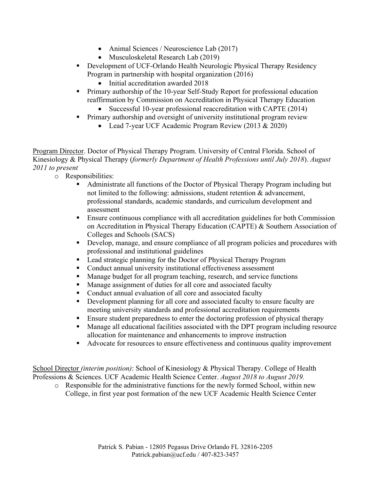- Animal Sciences / Neuroscience Lab (2017)
- Musculoskeletal Research Lab (2019)
- Development of UCF-Orlando Health Neurologic Physical Therapy Residency Program in partnership with hospital organization (2016)
	- Initial accreditation awarded 2018
- **Primary authorship of the 10-year Self-Study Report for professional education** reaffirmation by Commission on Accreditation in Physical Therapy Education
	- Successful 10-year professional reaccreditation with CAPTE (2014)
	- Primary authorship and oversight of university institutional program review
		- Lead 7-year UCF Academic Program Review (2013 & 2020)

Program Director. Doctor of Physical Therapy Program. University of Central Florida. School of Kinesiology & Physical Therapy (*formerly Department of Health Professions until July 2018*). *August 2011 to present*

- o Responsibilities:
	- Administrate all functions of the Doctor of Physical Therapy Program including but not limited to the following: admissions, student retention & advancement, professional standards, academic standards, and curriculum development and assessment
	- Ensure continuous compliance with all accreditation guidelines for both Commission on Accreditation in Physical Therapy Education (CAPTE) & Southern Association of Colleges and Schools (SACS)
	- Develop, manage, and ensure compliance of all program policies and procedures with professional and institutional guidelines
	- Lead strategic planning for the Doctor of Physical Therapy Program
	- Conduct annual university institutional effectiveness assessment
	- Manage budget for all program teaching, research, and service functions
	- **Manage assignment of duties for all core and associated faculty**
	- Conduct annual evaluation of all core and associated faculty
	- Development planning for all core and associated faculty to ensure faculty are meeting university standards and professional accreditation requirements
	- **Ensure student preparedness to enter the doctoring profession of physical therapy**
	- Manage all educational facilities associated with the DPT program including resource allocation for maintenance and enhancements to improve instruction
	- Advocate for resources to ensure effectiveness and continuous quality improvement

School Director *(interim position)*: School of Kinesiology & Physical Therapy. College of Health Professions & Sciences. UCF Academic Health Science Center. *August 2018 to August 2019.*

o Responsible for the administrative functions for the newly formed School, within new College, in first year post formation of the new UCF Academic Health Science Center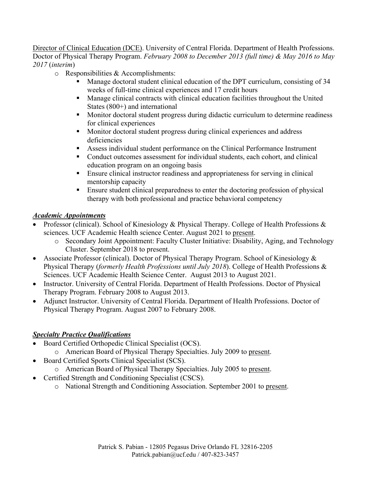Director of Clinical Education (DCE). University of Central Florida. Department of Health Professions. Doctor of Physical Therapy Program. *February 2008 to December 2013 (full time) & May 2016 to May 2017* (*interim*)

- o Responsibilities & Accomplishments:
	- Manage doctoral student clinical education of the DPT curriculum, consisting of 34 weeks of full-time clinical experiences and 17 credit hours
	- Manage clinical contracts with clinical education facilities throughout the United States (800+) and international
	- **Monitive 1** Monitor doctoral student progress during didactic curriculum to determine readiness for clinical experiences
	- **Monitor doctoral student progress during clinical experiences and address** deficiencies
	- Assess individual student performance on the Clinical Performance Instrument
	- Conduct outcomes assessment for individual students, each cohort, and clinical education program on an ongoing basis
	- Ensure clinical instructor readiness and appropriateness for serving in clinical mentorship capacity
	- **Ensure student clinical preparedness to enter the doctoring profession of physical** therapy with both professional and practice behavioral competency

#### *Academic Appointments*

- Professor (clinical). School of Kinesiology & Physical Therapy. College of Health Professions & sciences. UCF Academic Health science Center. August 2021 to present.
	- o Secondary Joint Appointment: Faculty Cluster Initiative: Disability, Aging, and Technology Cluster. September 2018 to present.
- Associate Professor (clinical). Doctor of Physical Therapy Program. School of Kinesiology & Physical Therapy (*formerly Health Professions until July 2018*). College of Health Professions & Sciences. UCF Academic Health Science Center. August 2013 to August 2021.
- Instructor. University of Central Florida. Department of Health Professions. Doctor of Physical Therapy Program. February 2008 to August 2013.
- Adjunct Instructor. University of Central Florida. Department of Health Professions. Doctor of Physical Therapy Program. August 2007 to February 2008.

#### *Specialty Practice Qualifications*

- Board Certified Orthopedic Clinical Specialist (OCS).
	- o American Board of Physical Therapy Specialties. July 2009 to present.
- Board Certified Sports Clinical Specialist (SCS).
- o American Board of Physical Therapy Specialties. July 2005 to present.
- Certified Strength and Conditioning Specialist (CSCS).
	- o National Strength and Conditioning Association. September 2001 to present.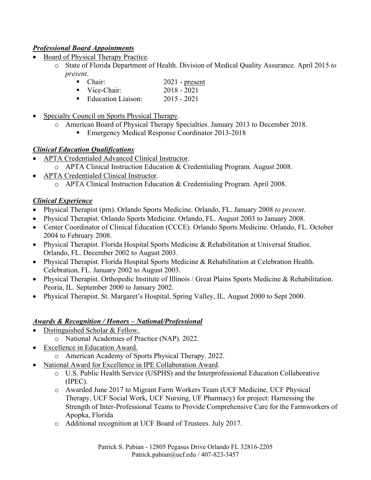### *Professional Board Appointments*

- Board of Physical Therapy Practice.
	- o State of Florida Department of Health. Division of Medical Quality Assurance. April 2015 *to present*.
		- Chair: 2021 present
		- Vice-Chair: 2018 2021
		- Education Liaison: 2015 2021
- Specialty Council on Sports Physical Therapy.
	- o American Board of Physical Therapy Specialties. January 2013 to December 2018.
		- Emergency Medical Response Coordinator 2013-2018

#### *Clinical Education Qualifications*

- APTA Credentialed Advanced Clinical Instructor.
	- o APTA Clinical Instruction Education & Credentialing Program. August 2008.
- APTA Credentialed Clinical Instructor.
	- o APTA Clinical Instruction Education & Credentialing Program. April 2008.

#### *Clinical Experience*

- Physical Therapist (prn). Orlando Sports Medicine. Orlando, FL. January 2008 *to present*.
- Physical Therapist. Orlando Sports Medicine. Orlando, FL. August 2003 to January 2008.
- Center Coordinator of Clinical Education (CCCE). Orlando Sports Medicine. Orlando, FL. October 2004 to February 2008.
- Physical Therapist. Florida Hospital Sports Medicine & Rehabilitation at Universal Studios. Orlando, FL. December 2002 to August 2003.
- Physical Therapist. Florida Hospital Sports Medicine & Rehabilitation at Celebration Health. Celebration, FL. January 2002 to August 2003.
- Physical Therapist. Orthopedic Institute of Illinois / Great Plains Sports Medicine & Rehabilitation. Peoria, IL. September 2000 to January 2002.
- Physical Therapist. St. Margaret's Hospital. Spring Valley, IL. August 2000 to Sept 2000.

#### *Awards & Recognition / Honors – National/Professional*

- Distinguished Scholar & Fellow.
	- o National Academies of Practice (NAP). 2022.
- Excellence in Education Award.
	- o American Academy of Sports Physical Therapy. 2022.
- National Award for Excellence in IPE Collaboration Award.
	- o U.S. Public Health Service (USPHS) and the Interprofessional Education Collaborative (IPEC).
	- o Awarded June 2017 to Migrant Farm Workers Team (UCF Medicine, UCF Physical Therapy, UCF Social Work, UCF Nursing, UF Pharmacy) for project: Harnessing the Strength of Inter-Professional Teams to Provide Comprehensive Care for the Farmworkers of Apopka, Florida
	- o Additional recognition at UCF Board of Trustees. July 2017.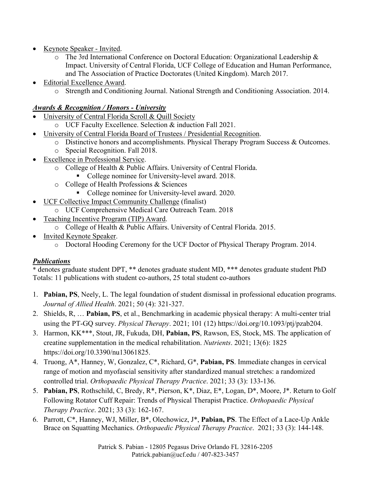- Keynote Speaker Invited.
	- o The 3rd International Conference on Doctoral Education: Organizational Leadership & Impact. University of Central Florida, UCF College of Education and Human Performance, and The Association of Practice Doctorates (United Kingdom). March 2017.
- **Editorial Excellence Award.** 
	- o Strength and Conditioning Journal. National Strength and Conditioning Association. 2014.

## *Awards & Recognition / Honors - University*

- University of Central Florida Scroll & Quill Society
	- o UCF Faculty Excellence. Selection & induction Fall 2021.
- University of Central Florida Board of Trustees / Presidential Recognition.
	- o Distinctive honors and accomplishments. Physical Therapy Program Success & Outcomes.
	- o Special Recognition. Fall 2018.
- Excellence in Professional Service.
	- o College of Health & Public Affairs. University of Central Florida.
		- College nominee for University-level award. 2018.
	- o College of Health Professions & Sciences
		- College nominee for University-level award. 2020.
- UCF Collective Impact Community Challenge (finalist)
	- o UCF Comprehensive Medical Care Outreach Team. 2018
- Teaching Incentive Program (TIP) Award.
	- o College of Health & Public Affairs. University of Central Florida. 2015.
- Invited Keynote Speaker.
	- o Doctoral Hooding Ceremony for the UCF Doctor of Physical Therapy Program. 2014.

### *Publications*

\* denotes graduate student DPT, \*\* denotes graduate student MD, \*\*\* denotes graduate student PhD Totals: 11 publications with student co-authors, 25 total student co-authors

- 1. **Pabian, PS**, Neely, L. The legal foundation of student dismissal in professional education programs. *Journal of Allied Health*. 2021; 50 (4): 321-327.
- 2. Shields, R, … **Pabian, PS**, et al., Benchmarking in academic physical therapy: A multi-center trial using the PT-GQ survey. *Physical Therapy*. 2021; 101 (12) https://doi.org/10.1093/ptj/pzab204.
- 3. Harmon, KK\*\*\*, Stout, JR, Fukuda, DH, **Pabian, PS**, Rawson, ES, Stock, MS. The application of creatine supplementation in the medical rehabilitation. *Nutrients*. 2021; 13(6): 1825 https://doi.org/10.3390/nu13061825.
- 4. Truong, A\*, Hanney, W, Gonzalez, C\*, Richard, G\*, **Pabian, PS**. Immediate changes in cervical range of motion and myofascial sensitivity after standardized manual stretches: a randomized controlled trial. *Orthopaedic Physical Therapy Practice*. 2021; 33 (3): 133-136.
- 5. **Pabian, PS**, Rothschild, C, Bredy, R\*, Pierson, K\*, Diaz, E\*, Logan, D\*, Moore, J\*. Return to Golf Following Rotator Cuff Repair: Trends of Physical Therapist Practice. *Orthopaedic Physical Therapy Practice*. 2021; 33 (3): 162-167.
- 6. Parrott, C\*, Hanney, WJ, Miller, B\*, Olechowicz, J\*, **Pabian, PS**. The Effect of a Lace-Up Ankle Brace on Squatting Mechanics. *Orthopaedic Physical Therapy Practice*. 2021; 33 (3): 144-148.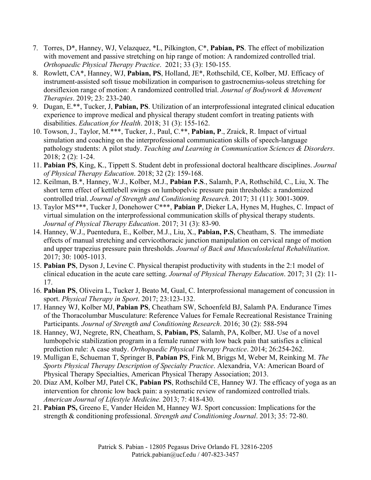- 7. Torres, D\*, Hanney, WJ, Velazquez, \*L, Pilkington, C\*, **Pabian, PS**. The effect of mobilization with movement and passive stretching on hip range of motion: A randomized controlled trial. *Orthopaedic Physical Therapy Practice*. 2021; 33 (3): 150-155.
- 8. Rowlett, CA\*, Hanney, WJ, **Pabian, PS**, Holland, JE\*, Rothschild, CE, Kolber, MJ. Efficacy of instrument-assisted soft tissue mobilization in comparison to gastrocnemius-soleus stretching for dorsiflexion range of motion: A randomized controlled trial. *Journal of Bodywork & Movement Therapies*. 2019; 23: 233-240.
- 9. Dugan, E.\*\*, Tucker, J, **Pabian, PS**. Utilization of an interprofessional integrated clinical education experience to improve medical and physical therapy student comfort in treating patients with disabilities. *Education for Health*. 2018; 31 (3): 155-162.
- 10. Towson, J., Taylor, M.\*\*\*, Tucker, J., Paul, C.\*\*, **Pabian, P**., Zraick, R. Impact of virtual simulation and coaching on the interprofessional communication skills of speech-language pathology students: A pilot study. *Teaching and Learning in Communication Sciences & Disorders*. 2018; 2 (2): 1-24.
- 11. **Pabian PS**, King, K., Tippett S. Student debt in professional doctoral healthcare disciplines. *Journal of Physical Therapy Education*. 2018; 32 (2): 159-168.
- 12. Keilman, B.\*, Hanney, W.J., Kolber, M.J., **Pabian P.S**., Salamh, P.A, Rothschild, C., Liu, X. The short term effect of kettlebell swings on lumbopelvic pressure pain thresholds: a randomized controlled trial. *Journal of Strength and Conditioning Research.* 2017; 31 (11): 3001-3009.
- 13. Taylor MS\*\*\*, Tucker J, Donehower C\*\*\*, **Pabian P**, Dieker LA, Hynes M, Hughes, C. Impact of virtual simulation on the interprofessional communication skills of physical therapy students. *Journal of Physical Therapy Education*. 2017; 31 (3): 83-90.
- 14. Hanney, W.J., Puentedura, E., Kolber, M.J., Liu, X., **Pabian, P.S**, Cheatham, S. The immediate effects of manual stretching and cervicothoracic junction manipulation on cervical range of motion and upper trapezius pressure pain thresholds. *Journal of Back and Musculoskeletal Rehabilitation*. 2017; 30: 1005-1013.
- 15. **Pabian PS**, Dyson J, Levine C. Physical therapist productivity with students in the 2:1 model of clinical education in the acute care setting. *Journal of Physical Therapy Education*. 2017; 31 (2): 11- 17.
- 16. **Pabian PS**, Oliveira L, Tucker J, Beato M, Gual, C. Interprofessional management of concussion in sport. *Physical Therapy in Sport*. 2017; 23:123-132.
- 17. Hanney WJ, Kolber MJ, **Pabian PS**, Cheatham SW, Schoenfeld BJ, Salamh PA. Endurance Times of the Thoracolumbar Musculature: Reference Values for Female Recreational Resistance Training Participants. *Journal of Strength and Conditioning Research*. 2016; 30 (2): 588-594
- 18. Hanney, WJ, Negrete, RN, Cheatham, S, **Pabian, PS**, Salamh, PA, Kolber, MJ. Use of a novel lumbopelvic stabilization program in a female runner with low back pain that satisfies a clinical prediction rule: A case study. *Orthopaedic Physical Therapy Practice*. 2014; 26:254-262.
- 19. Mulligan E, Schueman T, Springer B, **Pabian PS**, Fink M, Briggs M, Weber M, Reinking M. *The Sports Physical Therapy Description of Specialty Practice*. Alexandria, VA: American Board of Physical Therapy Specialties, American Physical Therapy Association; 2013.
- 20. Diaz AM, Kolber MJ, Patel CK, **Pabian PS**, Rothschild CE, Hanney WJ. The efficacy of yoga as an intervention for chronic low back pain: a systematic review of randomized controlled trials. *American Journal of Lifestyle Medicine.* 2013; 7: 418-430.
- 21. **Pabian PS,** Greeno E, Vander Heiden M, Hanney WJ. Sport concussion: Implications for the strength & conditioning professional. *Strength and Conditioning Journal*. 2013; 35: 72-80.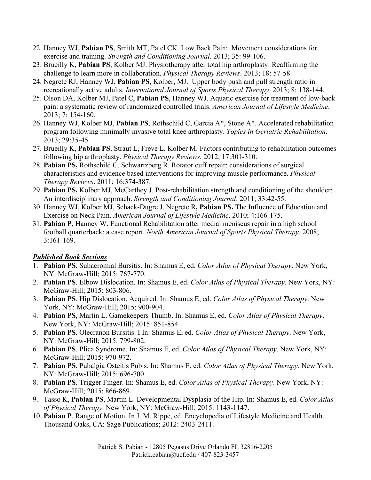- 22. Hanney WJ, **Pabian PS**, Smith MT, Patel CK. Low Back Pain: Movement considerations for exercise and training. *Strength and Conditioning Journal*. 2013; 35: 99-106.
- 23. Brueilly K, **Pabian PS**, Kolber MJ. Physiotherapy after total hip arthroplasty: Reaffirming the challenge to learn more in collaboration. *Physical Therapy Reviews*. 2013; 18: 57-58.
- 24. Negrete RJ, Hanney WJ, **Pabian PS**, Kolber, MJ. Upper body push and pull strength ratio in recreationally active adults. *International Journal of Sports Physical Therapy*. 2013; 8: 138-144.
- 25. Olson DA, Kolber MJ, Patel C, **Pabian PS**, Hanney WJ. Aquatic exercise for treatment of low-back pain: a systematic review of randomized controlled trials. *American Journal of Lifestyle Medicine*. 2013; 7: 154-160.
- 26. Hanney WJ, Kolber MJ, **Pabian PS**, Rothschild C, Garcia A\*, Stone A\*. Accelerated rehabilitation program following minimally invasive total knee arthroplasty. *Topics in Geriatric Rehabilitation*. 2013; 29:35-45.
- 27. Brueilly K, **Pabian PS**, Straut L, Freve L, Kolber M. Factors contributing to rehabilitation outcomes following hip arthroplasty. *Physical Therapy Reviews*. 2012; 17:301-310.
- 28. **Pabian PS,** Rothschild C, Schwartzberg R. Rotator cuff repair: considerations of surgical characteristics and evidence based interventions for improving muscle performance. *Physical Therapy Reviews*. 2011; 16:374-387.
- 29. **Pabian PS,** Kolber MJ, McCarthey J. Post-rehabilitation strength and conditioning of the shoulder: An interdisciplinary approach. *Strength and Conditioning Journal*. 2011; 33:42-55.
- 30. Hanney WJ, Kolber MJ, Schack-Dugre J, Negrete R**, Pabian PS.** The Influence of Education and Exercise on Neck Pain. *American Journal of Lifestyle Medicine*. 2010; 4:166-175.
- 31. **Pabian P**, Hanney W. Functional Rehabilitation after medial meniscus repair in a high school football quarterback: a case report. *North American Journal of Sports Physical Therapy*. 2008; 3:161-169.

#### *Published Book Sections*

- 1. **Pabian PS**. Subacromial Bursitis. In: Shamus E, ed. *Color Atlas of Physical Therapy*. New York, NY: McGraw-Hill; 2015: 767-770.
- 2. **Pabian PS**. Elbow Dislocation. In: Shamus E, ed. *Color Atlas of Physical Therapy*. New York, NY: McGraw-Hill; 2015: 803-806.
- 3. **Pabian PS**. Hip Dislocation, Acquired. In: Shamus E, ed. *Color Atlas of Physical Therapy*. New York, NY: McGraw-Hill; 2015: 900-904.
- 4. **Pabian PS**, Martin L. Gamekeepers Thumb. In: Shamus E, ed. *Color Atlas of Physical Therapy*. New York, NY: McGraw-Hill; 2015: 851-854.
- 5. **Pabian PS**. Olecranon Bursitis. I In: Shamus E, ed. *Color Atlas of Physical Therapy*. New York, NY: McGraw-Hill; 2015: 799-802.
- 6. **Pabian PS**. Plica Syndrome. In: Shamus E, ed. *Color Atlas of Physical Therapy*. New York, NY: McGraw-Hill; 2015: 970-972.
- 7. **Pabian PS**. Pubalgia Osteitis Pubis. In: Shamus E, ed. *Color Atlas of Physical Therapy*. New York, NY: McGraw-Hill; 2015: 696-700.
- 8. **Pabian PS**. Trigger Finger. In: Shamus E, ed. *Color Atlas of Physical Therapy*. New York, NY: McGraw-Hill; 2015: 866-869.
- 9. Tasso K, **Pabian PS**, Martin L. Developmental Dysplasia of the Hip. In: Shamus E, ed. *Color Atlas of Physical Therapy*. New York, NY: McGraw-Hill; 2015: 1143-1147.
- 10. **Pabian P**. Range of Motion. In J. M. Rippe, ed. Encyclopedia of Lifestyle Medicine and Health. Thousand Oaks, CA: Sage Publications; 2012: 2403-2411.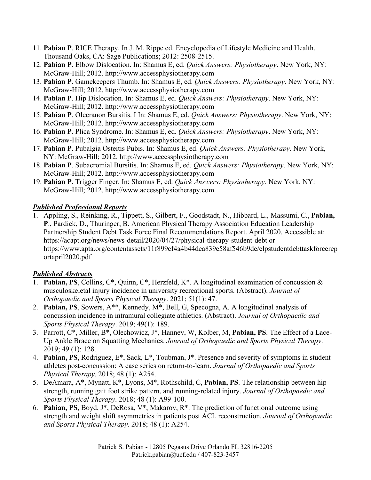- 11. **Pabian P**. RICE Therapy. In J. M. Rippe ed. Encyclopedia of Lifestyle Medicine and Health. Thousand Oaks, CA: Sage Publications; 2012: 2508-2515.
- 12. **Pabian P**. Elbow Dislocation. In: Shamus E, ed. *Quick Answers: Physiotherapy*. New York, NY: McGraw-Hill; 2012. http://www.accessphysiotherapy.com
- 13. **Pabian P**. Gamekeepers Thumb. In: Shamus E, ed. *Quick Answers: Physiotherapy*. New York, NY: McGraw-Hill; 2012. http://www.accessphysiotherapy.com
- 14. **Pabian P**. Hip Dislocation. In: Shamus E, ed. *Quick Answers: Physiotherapy*. New York, NY: McGraw-Hill; 2012. http://www.accessphysiotherapy.com
- 15. **Pabian P**. Olecranon Bursitis. I In: Shamus E, ed. *Quick Answers: Physiotherapy*. New York, NY: McGraw-Hill; 2012. http://www.accessphysiotherapy.com
- 16. **Pabian P**. Plica Syndrome. In: Shamus E, ed. *Quick Answers: Physiotherapy*. New York, NY: McGraw-Hill; 2012. http://www.accessphysiotherapy.com
- 17. **Pabian P**. Pubalgia Osteitis Pubis. In: Shamus E, ed. *Quick Answers: Physiotherapy*. New York, NY: McGraw-Hill; 2012. http://www.accessphysiotherapy.com
- 18. **Pabian P**. Subacromial Bursitis. In: Shamus E, ed. *Quick Answers: Physiotherapy*. New York, NY: McGraw-Hill; 2012. http://www.accessphysiotherapy.com
- 19. **Pabian P**. Trigger Finger. In: Shamus E, ed. *Quick Answers: Physiotherapy*. New York, NY: McGraw-Hill; 2012. http://www.accessphysiotherapy.com

### *Published Professional Reports*

1. Appling, S., Reinking, R., Tippett, S., Gilbert, F., Goodstadt, N., Hibbard, L., Massumi, C., **Pabian, P**., Pardiek, D., Thuringer, B. American Physical Therapy Association Education Leadership Partnership Student Debt Task Force Final Recommendations Report. April 2020. Accessible at: https://acapt.org/news/news-detail/2020/04/27/physical-therapy-student-debt or https://www.apta.org/contentassets/11f899cf4a4b44dea839e58af546b9de/elpstudentdebttaskforcerep ortapril2020.pdf

### *Published Abstracts*

- 1. **Pabian, PS**, Collins, C\*, Quinn, C\*, Herzfeld, K\*. A longitudinal examination of concussion & musculoskeletal injury incidence in university recreational sports. (Abstract). *Journal of Orthopaedic and Sports Physical Therapy*. 2021; 51(1): 47.
- 2. **Pabian, PS**, Sowers, A\*\*, Kennedy, M\*, Bell, G, Specogna, A. A longitudinal analysis of concussion incidence in intramural collegiate athletics. (Abstract). *Journal of Orthopaedic and Sports Physical Therapy*. 2019; 49(1): 189.
- 3. Parrott, C\*, Miller, B\*, Olechowicz, J\*, Hanney, W, Kolber, M, **Pabian, PS**. The Effect of a Lace-Up Ankle Brace on Squatting Mechanics. *Journal of Orthopaedic and Sports Physical Therapy*. 2019; 49 (1): 128.
- 4. **Pabian, PS**, Rodriguez, E\*, Sack, L\*, Toubman, J\*. Presence and severity of symptoms in student athletes post-concussion: A case series on return-to-learn. *Journal of Orthopaedic and Sports Physical Therapy*. 2018; 48 (1): A254.
- 5. DeAmara, A\*, Mynatt, K\*, Lyons, M\*, Rothschild, C, **Pabian, PS**. The relationship between hip strength, running gait foot strike pattern, and running-related injury. *Journal of Orthopaedic and Sports Physical Therapy*. 2018; 48 (1): A99-100.
- 6. **Pabian, PS**, Boyd, J\*, DeRosa, V\*, Makarov, R\*. The prediction of functional outcome using strength and weight shift asymmetries in patients post ACL reconstruction. *Journal of Orthopaedic and Sports Physical Therapy*. 2018; 48 (1): A254.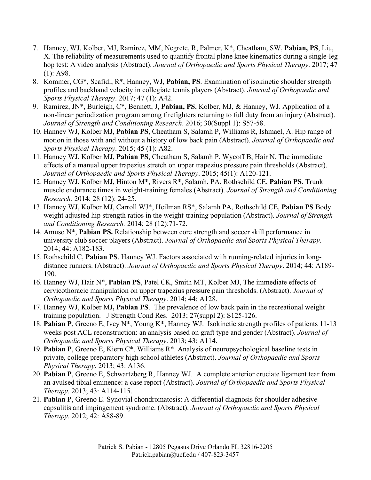- 7. Hanney, WJ, Kolber, MJ, Ramirez, MM, Negrete, R, Palmer, K\*, Cheatham, SW, **Pabian, PS**, Liu, X. The reliability of measurements used to quantify frontal plane knee kinematics during a single-leg hop test: A video analysis (Abstract). *Journal of Orthopaedic and Sports Physical Therapy*. 2017; 47 (1): A98.
- 8. Kommer, CG\*, Scafidi, R\*, Hanney, WJ, **Pabian, PS**. Examination of isokinetic shoulder strength profiles and backhand velocity in collegiate tennis players (Abstract). *Journal of Orthopaedic and Sports Physical Therapy*. 2017; 47 (1): A42.
- 9. Ramirez, JN\*, Burleigh, C\*, Bennett, J, **Pabian, PS**, Kolber, MJ, & Hanney, WJ. Application of a non-linear periodization program among firefighters returning to full duty from an injury (Abstract). *Journal of Strength and Conditioning Research*. 2016; 30(Suppl 1): S57-58.
- 10. Hanney WJ, Kolber MJ, **Pabian PS**, Cheatham S, Salamh P, Williams R, Ishmael, A. Hip range of motion in those with and without a history of low back pain (Abstract). *Journal of Orthopaedic and Sports Physical Therapy*. 2015; 45 (1): A82.
- 11. Hanney WJ, Kolber MJ, **Pabian PS**, Cheatham S, Salamh P, Wycoff B, Hair N. The immediate effects of a manual upper trapezius stretch on upper trapezius pressure pain thresholds (Abstract). *Journal of Orthopaedic and Sports Physical Therapy*. 2015; 45(1): A120-121.
- 12. Hanney WJ, Kolber MJ, Hinton M\*, Rivers R\*, Salamh, PA, Rothschild CE, **Pabian PS**. Trunk muscle endurance times in weight-training females (Abstract). *Journal of Strength and Conditioning Research.* 2014; 28 (12): 24-25.
- 13. Hanney WJ, Kolber MJ, Carroll WJ\*, Heilman RS\*, Salamh PA, Rothschild CE, **Pabian PS** Body weight adjusted hip strength ratios in the weight-training population (Abstract). *Journal of Strength and Conditioning Research.* 2014; 28 (12):71-72.
- 14. Amuso N\*, **Pabian PS.** Relationship between core strength and soccer skill performance in university club soccer players (Abstract). *Journal of Orthopaedic and Sports Physical Therapy*. 2014; 44: A182-183.
- 15. Rothschild C, **Pabian PS**, Hanney WJ. Factors associated with running-related injuries in longdistance runners. (Abstract). *Journal of Orthopaedic and Sports Physical Therapy*. 2014; 44: A189- 190.
- 16. Hanney WJ, Hair N\*, **Pabian PS**, Patel CK, Smith MT, Kolber MJ, The immediate effects of cervicothoracic manipulation on upper trapezius pressure pain thresholds. (Abstract). *Journal of Orthopaedic and Sports Physical Therapy*. 2014; 44: A128.
- 17. Hanney WJ, Kolber MJ**, Pabian PS**. The prevalence of low back pain in the recreational weight training population. J Strength Cond Res. 2013; 27(suppl 2): S125-126.
- 18. **Pabian P**, Greeno E, Ivey N\*, Young K\*, Hanney WJ. Isokinetic strength profiles of patients 11-13 weeks post ACL reconstruction: an analysis based on graft type and gender (Abstract). *Journal of Orthopaedic and Sports Physical Therapy*. 2013; 43: A114.
- 19. **Pabian P**, Greeno E, Kiern C\*, Williams R\*. Analysis of neuropsychological baseline tests in private, college preparatory high school athletes (Abstract). *Journal of Orthopaedic and Sports Physical Therapy*. 2013; 43: A136.
- 20. **Pabian P**, Greeno E, Schwartzberg R, Hanney WJ. A complete anterior cruciate ligament tear from an avulsed tibial eminence: a case report (Abstract). *Journal of Orthopaedic and Sports Physical Therapy*. 2013; 43: A114-115.
- 21. **Pabian P**, Greeno E. Synovial chondromatosis: A differential diagnosis for shoulder adhesive capsulitis and impingement syndrome. (Abstract). *Journal of Orthopaedic and Sports Physical Therapy*. 2012; 42: A88-89.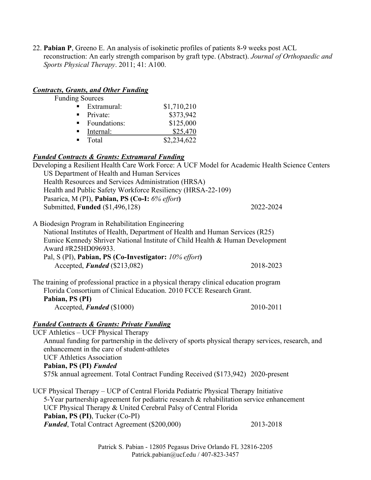22. **Pabian P**, Greeno E. An analysis of isokinetic profiles of patients 8-9 weeks post ACL reconstruction: An early strength comparison by graft type. (Abstract). *Journal of Orthopaedic and Sports Physical Therapy*. 2011; 41: A100.

#### *Contracts, Grants, and Other Funding*

Funding Sources

| $\rightarrow$  | Extramural:  | \$1,710,210 |
|----------------|--------------|-------------|
|                | Private:     | \$373,942   |
| $\blacksquare$ | Foundations: | \$125,000   |
|                | Internal:    | \$25,470    |
|                | Total        | \$2,234,622 |

#### *Funded Contracts & Grants: Extramural Funding*

Developing a Resilient Health Care Work Force: A UCF Model for Academic Health Science Centers US Department of Health and Human Services Health Resources and Services Administration (HRSA) Health and Public Safety Workforce Resiliency (HRSA-22-109) Pasarica, M (PI), **Pabian, PS (Co-I:** *6% effort***)** Submitted, **Funded** (\$1,496,128) 2022-2024 A Biodesign Program in Rehabilitation Engineering National Institutes of Health, Department of Health and Human Services (R25) Eunice Kennedy Shriver National Institute of Child Health & Human Development Award #R25HD096933. Pal, S (PI), **Pabian, PS (Co-Investigator:** *10% effort***)** Accepted, *Funded* (\$213,082) 2018-2023 The training of professional practice in a physical therapy clinical education program Florida Consortium of Clinical Education. 2010 FCCE Research Grant. **Pabian, PS (PI)** Accepted, *Funded* (\$1000) 2010-2011 *Funded Contracts & Grants: Private Funding* UCF Athletics – UCF Physical Therapy Annual funding for partnership in the delivery of sports physical therapy services, research, and enhancement in the care of student-athletes UCF Athletics Association **Pabian, PS (PI)** *Funded* \$75k annual agreement. Total Contract Funding Received (\$173,942) 2020-present UCF Physical Therapy – UCP of Central Florida Pediatric Physical Therapy Initiative 5-Year partnership agreement for pediatric research & rehabilitation service enhancement UCF Physical Therapy & United Cerebral Palsy of Central Florida **Pabian, PS (PI)**, Tucker (Co-PI)

**Funded**, Total Contract Agreement (\$200,000) 2013-2018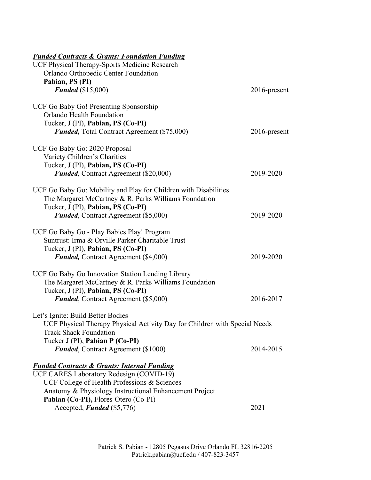### *Funded Contracts & Grants: Foundation Funding*

| UCF Physical Therapy-Sports Medicine Research                              |              |
|----------------------------------------------------------------------------|--------------|
| Orlando Orthopedic Center Foundation                                       |              |
| Pabian, PS (PI)                                                            |              |
| <b>Funded</b> (\$15,000)                                                   | 2016-present |
| UCF Go Baby Go! Presenting Sponsorship                                     |              |
| Orlando Health Foundation                                                  |              |
| Tucker, J (PI), Pabian, PS (Co-PI)                                         |              |
| <b>Funded, Total Contract Agreement (\$75,000)</b>                         | 2016-present |
| UCF Go Baby Go: 2020 Proposal                                              |              |
| Variety Children's Charities                                               |              |
| Tucker, J (PI), Pabian, PS (Co-PI)                                         |              |
| <b>Funded, Contract Agreement (\$20,000)</b>                               | 2019-2020    |
| UCF Go Baby Go: Mobility and Play for Children with Disabilities           |              |
| The Margaret McCartney & R. Parks Williams Foundation                      |              |
| Tucker, J (PI), Pabian, PS (Co-PI)                                         |              |
| <b>Funded, Contract Agreement (\$5,000)</b>                                | 2019-2020    |
| UCF Go Baby Go - Play Babies Play! Program                                 |              |
| Suntrust: Irma & Orville Parker Charitable Trust                           |              |
| Tucker, J (PI), Pabian, PS (Co-PI)                                         |              |
|                                                                            | 2019-2020    |
| <b>Funded, Contract Agreement (\$4,000)</b>                                |              |
| UCF Go Baby Go Innovation Station Lending Library                          |              |
| The Margaret McCartney & R. Parks Williams Foundation                      |              |
| Tucker, J (PI), Pabian, PS (Co-PI)                                         |              |
| <b>Funded, Contract Agreement (\$5,000)</b>                                | 2016-2017    |
| Let's Ignite: Build Better Bodies                                          |              |
| UCF Physical Therapy Physical Activity Day for Children with Special Needs |              |
| <b>Track Shack Foundation</b>                                              |              |
| Tucker J (PI), Pabian P (Co-PI)                                            |              |
| <b>Funded, Contract Agreement (\$1000)</b>                                 | 2014-2015    |
| <b>Funded Contracts &amp; Grants: Internal Funding</b>                     |              |
| UCF CARES Laboratory Redesign (COVID-19)                                   |              |
| UCF College of Health Professions & Sciences                               |              |
| Anatomy & Physiology Instructional Enhancement Project                     |              |
| Pabian (Co-PI), Flores-Otero (Co-PI)                                       |              |
| Accepted, Funded (\$5,776)                                                 | 2021         |
|                                                                            |              |

Patrick S. Pabian - 12805 Pegasus Drive Orlando FL 32816-2205 Patrick.pabian@ucf.edu / 407-823-3457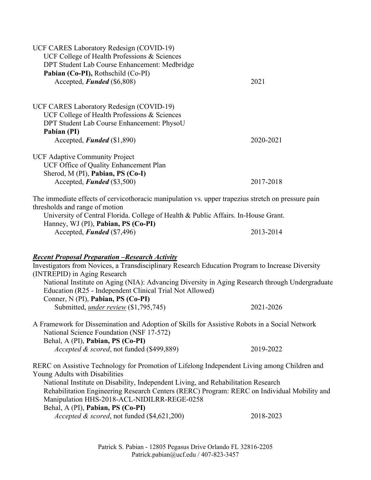| UCF CARES Laboratory Redesign (COVID-19)<br>UCF College of Health Professions & Sciences<br>DPT Student Lab Course Enhancement: Medbridge<br>Pabian (Co-PI), Rothschild (Co-PI)                                                                                                                                                                                                               |           |  |  |
|-----------------------------------------------------------------------------------------------------------------------------------------------------------------------------------------------------------------------------------------------------------------------------------------------------------------------------------------------------------------------------------------------|-----------|--|--|
| Accepted, Funded (\$6,808)                                                                                                                                                                                                                                                                                                                                                                    | 2021      |  |  |
| UCF CARES Laboratory Redesign (COVID-19)<br>UCF College of Health Professions & Sciences<br>DPT Student Lab Course Enhancement: PhysoU<br>Pabian (PI)                                                                                                                                                                                                                                         |           |  |  |
| Accepted, Funded (\$1,890)                                                                                                                                                                                                                                                                                                                                                                    | 2020-2021 |  |  |
| <b>UCF Adaptive Community Project</b><br>UCF Office of Quality Enhancement Plan<br>Sherod, M (PI), Pabian, PS (Co-I)                                                                                                                                                                                                                                                                          |           |  |  |
| Accepted, Funded (\$3,500)                                                                                                                                                                                                                                                                                                                                                                    | 2017-2018 |  |  |
| The immediate effects of cervicothoracic manipulation vs. upper trapezius stretch on pressure pain<br>thresholds and range of motion                                                                                                                                                                                                                                                          |           |  |  |
| University of Central Florida. College of Health & Public Affairs. In-House Grant.<br>Hanney, WJ (PI), Pabian, PS (Co-PI)                                                                                                                                                                                                                                                                     |           |  |  |
| Accepted, Funded (\$7,496)                                                                                                                                                                                                                                                                                                                                                                    | 2013-2014 |  |  |
| <b>Recent Proposal Preparation -Research Activity</b><br>Investigators from Novices, a Transdisciplinary Research Education Program to Increase Diversity<br>(INTREPID) in Aging Research<br>National Institute on Aging (NIA): Advancing Diversity in Aging Research through Undergraduate<br>Education (R25 - Independent Clinical Trial Not Allowed)<br>Conner, N (PI), Pabian, PS (Co-PI) |           |  |  |
| Submitted, <i>under review</i> (\$1,795,745)                                                                                                                                                                                                                                                                                                                                                  | 2021-2026 |  |  |
| A Framework for Dissemination and Adoption of Skills for Assistive Robots in a Social Network<br>National Science Foundation (NSF 17-572)<br>Behal, A (PI), Pabian, PS (Co-PI)                                                                                                                                                                                                                |           |  |  |
| Accepted & scored, not funded (\$499,889)                                                                                                                                                                                                                                                                                                                                                     | 2019-2022 |  |  |
| RERC on Assistive Technology for Promotion of Lifelong Independent Living among Children and<br>Young Adults with Disabilities<br>National Institute on Disability, Independent Living, and Rehabilitation Research<br>Rehabilitation Engineering Research Centers (RERC) Program: RERC on Individual Mobility and<br>Manipulation HHS-2018-ACL-NIDILRR-REGE-0258                             |           |  |  |
| Behal, A (PI), Pabian, PS (Co-PI)<br>Accepted & scored, not funded (\$4,621,200)                                                                                                                                                                                                                                                                                                              | 2018-2023 |  |  |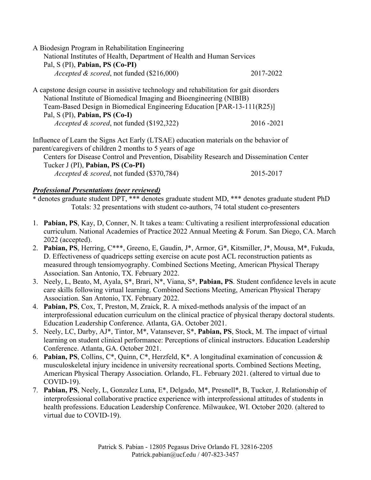| A Biodesign Program in Rehabilitation Engineering                      |           |
|------------------------------------------------------------------------|-----------|
| National Institutes of Health, Department of Health and Human Services |           |
| Pal, S (PI), Pabian, PS (Co-PI)                                        |           |
| <i>Accepted &amp; scored, not funded (\$216,000)</i>                   | 2017-2022 |
|                                                                        |           |

A capstone design course in assistive technology and rehabilitation for gait disorders National Institute of Biomedical Imaging and Bioengineering (NIBIB) Team-Based Design in Biomedical Engineering Education [PAR-13-111(R25)] Pal, S (PI), **Pabian, PS (Co-I)** *Accepted & scored*, not funded (\$192,322) 2016 -2021

Influence of Learn the Signs Act Early (LTSAE) education materials on the behavior of parent/caregivers of children 2 months to 5 years of age

Centers for Disease Control and Prevention, Disability Research and Dissemination Center Tucker J (PI), **Pabian, PS (Co-PI)** *Accepted & scored*, not funded (\$370,784) 2015-2017

#### *Professional Presentations (peer reviewed)*

\* denotes graduate student DPT, \*\*\* denotes graduate student MD, \*\*\* denotes graduate student PhD Totals: 32 presentations with student co-authors, 74 total student co-presenters

- 1. **Pabian, PS**, Kay, D, Conner, N. It takes a team: Cultivating a resilient interprofessional education curriculum. National Academies of Practice 2022 Annual Meeting & Forum. San Diego, CA. March 2022 (accepted).
- 2. **Pabian, PS**, Herring, C\*\*\*, Greeno, E, Gaudin, J\*, Armor, G\*, Kitsmiller, J\*, Mousa, M\*, Fukuda, D. Effectiveness of quadriceps setting exercise on acute post ACL reconstruction patients as measured through tensiomyography. Combined Sections Meeting, American Physical Therapy Association. San Antonio, TX. February 2022.
- 3. Neely, L, Beato, M, Ayala, S\*, Brari, N\*, Viana, S\*, **Pabian, PS**. Student confidence levels in acute care skills following virtual learning. Combined Sections Meeting, American Physical Therapy Association. San Antonio, TX. February 2022.
- 4. **Pabian, PS**, Cox, T, Preston, M, Zraick, R. A mixed-methods analysis of the impact of an interprofessional education curriculum on the clinical practice of physical therapy doctoral students. Education Leadership Conference. Atlanta, GA. October 2021.
- 5. Neely, LC, Darby, AJ\*, Tintor, M\*, Vatansever, S\*, **Pabian, PS**, Stock, M. The impact of virtual learning on student clinical performance: Perceptions of clinical instructors. Education Leadership Conference. Atlanta, GA. October 2021.
- 6. **Pabian, PS**, Collins, C\*, Quinn, C\*, Herzfeld, K\*. A longitudinal examination of concussion & musculoskeletal injury incidence in university recreational sports. Combined Sections Meeting, American Physical Therapy Association. Orlando, FL. February 2021. (altered to virtual due to COVID-19).
- 7. **Pabian, PS**, Neely, L, Gonzalez Luna, E\*, Delgado, M\*, Presnell\*, B, Tucker, J. Relationship of interprofessional collaborative practice experience with interprofessional attitudes of students in health professions. Education Leadership Conference. Milwaukee, WI. October 2020. (altered to virtual due to COVID-19).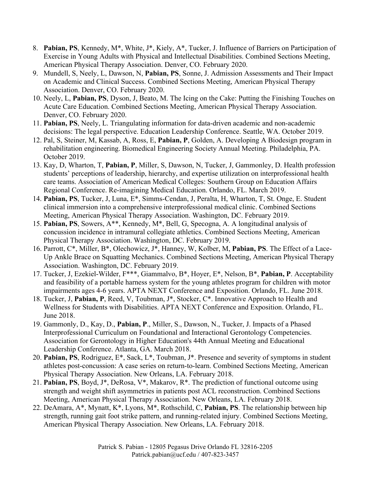- 8. **Pabian, PS**, Kennedy, M\*, White, J\*, Kiely, A\*, Tucker, J. Influence of Barriers on Participation of Exercise in Young Adults with Physical and Intellectual Disabilities. Combined Sections Meeting, American Physical Therapy Association. Denver, CO. February 2020.
- 9. Mundell, S, Neely, L, Dawson, N, **Pabian, PS**, Sonne, J. Admission Assessments and Their Impact on Academic and Clinical Success. Combined Sections Meeting, American Physical Therapy Association. Denver, CO. February 2020.
- 10. Neely, L, **Pabian, PS**, Dyson, J, Beato, M. The Icing on the Cake: Putting the Finishing Touches on Acute Care Education. Combined Sections Meeting, American Physical Therapy Association. Denver, CO. February 2020.
- 11. **Pabian, PS**, Neely, L. Triangulating information for data-driven academic and non-academic decisions: The legal perspective. Education Leadership Conference. Seattle, WA. October 2019.
- 12. Pal, S, Steiner, M, Kassab, A, Ross, E, **Pabian, P**, Golden, A. Developing A Biodesign program in rehabilitation engineering. Biomedical Engineering Society Annual Meeting. Philadelphia, PA. October 2019.
- 13. Kay, D, Wharton, T, **Pabian, P**, Miller, S, Dawson, N, Tucker, J, Gammonley, D. Health profession students' perceptions of leadership, hierarchy, and expertise utilization on interprofessional health care teams. Association of American Medical Colleges: Southern Group on Education Affairs Regional Conference. Re-imagining Medical Education. Orlando, FL. March 2019.
- 14. **Pabian, PS**, Tucker, J, Luna, E\*, Simms-Cendan, J, Peralta, H, Wharton, T, St. Onge, E. Student clinical immersion into a comprehensive interprofessional medical clinic. Combined Sections Meeting, American Physical Therapy Association. Washington, DC. February 2019.
- 15. **Pabian, PS**, Sowers, A\*\*, Kennedy, M\*, Bell, G, Specogna, A. A longitudinal analysis of concussion incidence in intramural collegiate athletics. Combined Sections Meeting, American Physical Therapy Association. Washington, DC. February 2019.
- 16. Parrott, C\*, Miller, B\*, Olechowicz, J\*, Hanney, W, Kolber, M, **Pabian, PS**. The Effect of a Lace-Up Ankle Brace on Squatting Mechanics. Combined Sections Meeting, American Physical Therapy Association. Washington, DC. February 2019.
- 17. Tucker, J, Ezekiel-Wilder, F\*\*\*, Giammalvo, B\*, Hoyer, E\*, Nelson, B\*, **Pabian, P**. Acceptability and feasibility of a portable harness system for the young athletes program for children with motor impairments ages 4-6 years. APTA NEXT Conference and Exposition. Orlando, FL. June 2018.
- 18. Tucker, J, **Pabian, P**, Reed, V, Toubman, J\*, Stocker, C\*. Innovative Approach to Health and Wellness for Students with Disabilities. APTA NEXT Conference and Exposition. Orlando, FL. June 2018.
- 19. Gammonly, D., Kay, D., **Pabian, P**., Miller, S., Dawson, N., Tucker, J. Impacts of a Phased Interprofessional Curriculum on Foundational and Interactional Gerontology Competencies. Association for Gerontology in Higher Education's 44th Annual Meeting and Educational Leadership Conference. Atlanta, GA. March 2018.
- 20. **Pabian, PS**, Rodriguez, E\*, Sack, L\*, Toubman, J\*. Presence and severity of symptoms in student athletes post-concussion: A case series on return-to-learn. Combined Sections Meeting, American Physical Therapy Association. New Orleans, LA. February 2018.
- 21. **Pabian, PS**, Boyd, J\*, DeRosa, V\*, Makarov, R\*. The prediction of functional outcome using strength and weight shift asymmetries in patients post ACL reconstruction. Combined Sections Meeting, American Physical Therapy Association. New Orleans, LA. February 2018.
- 22. DeAmara, A\*, Mynatt, K\*, Lyons, M\*, Rothschild, C, **Pabian, PS**. The relationship between hip strength, running gait foot strike pattern, and running-related injury. Combined Sections Meeting, American Physical Therapy Association. New Orleans, LA. February 2018.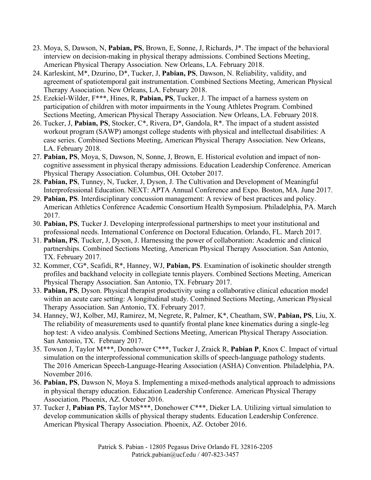- 23. Moya, S, Dawson, N, **Pabian, PS**, Brown, E, Sonne, J, Richards, J\*. The impact of the behavioral interview on decision-making in physical therapy admissions. Combined Sections Meeting, American Physical Therapy Association. New Orleans, LA. February 2018.
- 24. Karleskint, M\*, Dzurino, D\*, Tucker, J, **Pabian, PS**, Dawson, N. Reliability, validity, and agreement of spatiotemporal gait instrumentation. Combined Sections Meeting, American Physical Therapy Association. New Orleans, LA. February 2018.
- 25. Ezekiel-Wilder, F\*\*\*, Hines, R, **Pabian, PS**, Tucker, J. The impact of a harness system on participation of children with motor impairments in the Young Athletes Program. Combined Sections Meeting, American Physical Therapy Association. New Orleans, LA. February 2018.
- 26. Tucker, J, **Pabian, PS**, Stocker, C\*, Rivera, D\*, Gandola, R\*. The impact of a student assisted workout program (SAWP) amongst college students with physical and intellectual disabilities: A case series. Combined Sections Meeting, American Physical Therapy Association. New Orleans, LA. February 2018.
- 27. **Pabian, PS**, Moya, S, Dawson, N, Sonne, J, Brown, E. Historical evolution and impact of noncognitive assessment in physical therapy admissions. Education Leadership Conference. American Physical Therapy Association. Columbus, OH. October 2017.
- 28. **Pabian, PS**, Tunney, N, Tucker, J, Dyson, J. The Cultivation and Development of Meaningful Interprofessional Education. NEXT: APTA Annual Conference and Expo. Boston, MA. June 2017.
- 29. **Pabian, PS**. Interdisciplinary concussion management: A review of best practices and policy. American Athletics Conference Academic Consortium Health Symposium. Philadelphia, PA. March 2017.
- 30. **Pabian, PS**, Tucker J. Developing interprofessional partnerships to meet your institutional and professional needs. International Conference on Doctoral Education. Orlando, FL. March 2017.
- 31. **Pabian, PS**, Tucker, J, Dyson, J. Harnessing the power of collaboration: Academic and clinical partnerships. Combined Sections Meeting, American Physical Therapy Association. San Antonio, TX. February 2017.
- 32. Kommer, CG\*, Scafidi, R\*, Hanney, WJ, **Pabian, PS**. Examination of isokinetic shoulder strength profiles and backhand velocity in collegiate tennis players. Combined Sections Meeting, American Physical Therapy Association. San Antonio, TX. February 2017.
- 33. **Pabian, PS**, Dyson. Physical therapist productivity using a collaborative clinical education model within an acute care setting: A longitudinal study. Combined Sections Meeting, American Physical Therapy Association. San Antonio, TX. February 2017.
- 34. Hanney, WJ, Kolber, MJ, Ramirez, M, Negrete, R, Palmer, K\*, Cheatham, SW, **Pabian, PS**, Liu, X. The reliability of measurements used to quantify frontal plane knee kinematics during a single-leg hop test: A video analysis. Combined Sections Meeting, American Physical Therapy Association. San Antonio, TX. February 2017.
- 35. Towson J, Taylor M\*\*\*, Donehower C\*\*\*, Tucker J, Zraick R, **Pabian P**, Knox C. Impact of virtual simulation on the interprofessional communication skills of speech-language pathology students. The 2016 American Speech-Language-Hearing Association (ASHA) Convention. Philadelphia, PA. November 2016.
- 36. **Pabian, PS**, Dawson N, Moya S. Implementing a mixed-methods analytical approach to admissions in physical therapy education. Education Leadership Conference. American Physical Therapy Association. Phoenix, AZ. October 2016.
- 37. Tucker J, **Pabian PS**, Taylor MS\*\*\*, Donehower C\*\*\*, Dieker LA. Utilizing virtual simulation to develop communication skills of physical therapy students. Education Leadership Conference. American Physical Therapy Association. Phoenix, AZ. October 2016.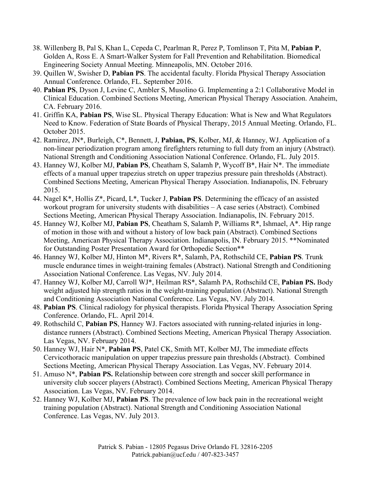- 38. Willenberg B, Pal S, Khan L, Cepeda C, Pearlman R, Perez P, Tomlinson T, Pita M, **Pabian P**, Golden A, Ross E. A Smart-Walker System for Fall Prevention and Rehabilitation. Biomedical Engineering Society Annual Meeting. Minneapolis, MN. October 2016.
- 39. Quillen W, Swisher D, **Pabian PS**. The accidental faculty. Florida Physical Therapy Association Annual Conference. Orlando, FL. September 2016.
- 40. **Pabian PS**, Dyson J, Levine C, Ambler S, Musolino G. Implementing a 2:1 Collaborative Model in Clinical Education. Combined Sections Meeting, American Physical Therapy Association. Anaheim, CA. February 2016.
- 41. Griffin KA, **Pabian PS**, Wise SL. Physical Therapy Education: What is New and What Regulators Need to Know. Federation of State Boards of Physical Therapy, 2015 Annual Meeting. Orlando, FL. October 2015.
- 42. Ramirez, JN\*, Burleigh, C\*, Bennett, J, **Pabian, PS**, Kolber, MJ, & Hanney, WJ. Application of a non-linear periodization program among firefighters returning to full duty from an injury (Abstract). National Strength and Conditioning Association National Conference. Orlando, FL. July 2015.
- 43. Hanney WJ, Kolber MJ, **Pabian PS**, Cheatham S, Salamh P, Wycoff B\*, Hair N\*. The immediate effects of a manual upper trapezius stretch on upper trapezius pressure pain thresholds (Abstract). Combined Sections Meeting, American Physical Therapy Association. Indianapolis, IN. February 2015.
- 44. Nagel K\*, Hollis Z\*, Picard, L\*, Tucker J, **Pabian PS**. Determining the efficacy of an assisted workout program for university students with disabilities – A case series (Abstract). Combined Sections Meeting, American Physical Therapy Association. Indianapolis, IN. February 2015.
- 45. Hanney WJ, Kolber MJ, **Pabian PS**, Cheatham S, Salamh P, Williams R\*, Ishmael, A\*. Hip range of motion in those with and without a history of low back pain (Abstract). Combined Sections Meeting, American Physical Therapy Association. Indianapolis, IN. February 2015. \*\*Nominated for Outstanding Poster Presentation Award for Orthopedic Section\*\*
- 46. Hanney WJ, Kolber MJ, Hinton M\*, Rivers R\*, Salamh, PA, Rothschild CE, **Pabian PS**. Trunk muscle endurance times in weight-training females (Abstract). National Strength and Conditioning Association National Conference. Las Vegas, NV. July 2014.
- 47. Hanney WJ, Kolber MJ, Carroll WJ\*, Heilman RS\*, Salamh PA, Rothschild CE, **Pabian PS.** Body weight adjusted hip strength ratios in the weight-training population (Abstract). National Strength and Conditioning Association National Conference. Las Vegas, NV. July 2014.
- 48. **Pabian PS**. Clinical radiology for physical therapists. Florida Physical Therapy Association Spring Conference. Orlando, FL. April 2014.
- 49. Rothschild C, **Pabian PS**, Hanney WJ. Factors associated with running-related injuries in longdistance runners (Abstract). Combined Sections Meeting, American Physical Therapy Association. Las Vegas, NV. February 2014.
- 50. Hanney WJ, Hair N\*, **Pabian PS**, Patel CK, Smith MT, Kolber MJ, The immediate effects Cervicothoracic manipulation on upper trapezius pressure pain thresholds (Abstract). Combined Sections Meeting, American Physical Therapy Association. Las Vegas, NV. February 2014.
- 51. Amuso N\*, **Pabian PS.** Relationship between core strength and soccer skill performance in university club soccer players (Abstract). Combined Sections Meeting, American Physical Therapy Association. Las Vegas, NV. February 2014.
- 52. Hanney WJ, Kolber MJ, **Pabian PS**. The prevalence of low back pain in the recreational weight training population (Abstract). National Strength and Conditioning Association National Conference. Las Vegas, NV. July 2013.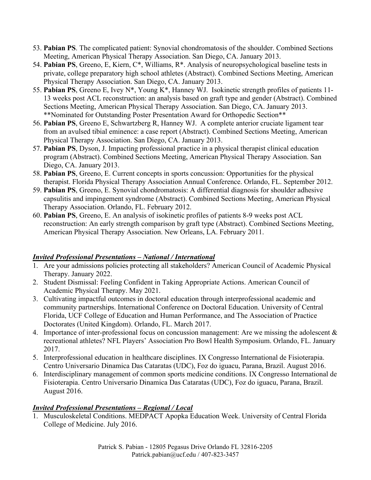- 53. **Pabian PS**. The complicated patient: Synovial chondromatosis of the shoulder. Combined Sections Meeting, American Physical Therapy Association. San Diego, CA. January 2013.
- 54. **Pabian PS**, Greeno, E, Kiern, C\*, Williams, R\*. Analysis of neuropsychological baseline tests in private, college preparatory high school athletes (Abstract). Combined Sections Meeting, American Physical Therapy Association. San Diego, CA. January 2013.
- 55. **Pabian PS**, Greeno E, Ivey N\*, Young K\*, Hanney WJ. Isokinetic strength profiles of patients 11- 13 weeks post ACL reconstruction: an analysis based on graft type and gender (Abstract). Combined Sections Meeting, American Physical Therapy Association. San Diego, CA. January 2013. \*\*Nominated for Outstanding Poster Presentation Award for Orthopedic Section\*\*
- 56. **Pabian PS**, Greeno E, Schwartzberg R, Hanney WJ. A complete anterior cruciate ligament tear from an avulsed tibial eminence: a case report (Abstract). Combined Sections Meeting, American Physical Therapy Association. San Diego, CA. January 2013.
- 57. **Pabian PS**, Dyson, J. Impacting professional practice in a physical therapist clinical education program (Abstract). Combined Sections Meeting, American Physical Therapy Association. San Diego, CA. January 2013.
- 58. **Pabian PS**, Greeno, E. Current concepts in sports concussion: Opportunities for the physical therapist. Florida Physical Therapy Association Annual Conference. Orlando, FL. September 2012.
- 59. **Pabian PS**, Greeno, E. Synovial chondromatosis: A differential diagnosis for shoulder adhesive capsulitis and impingement syndrome (Abstract). Combined Sections Meeting, American Physical Therapy Association. Orlando, FL. February 2012.
- 60. **Pabian PS**, Greeno, E. An analysis of isokinetic profiles of patients 8-9 weeks post ACL reconstruction: An early strength comparison by graft type (Abstract). Combined Sections Meeting, American Physical Therapy Association. New Orleans, LA. February 2011.

#### *Invited Professional Presentations – National / International*

- 1. Are your admissions policies protecting all stakeholders? American Council of Academic Physical Therapy. January 2022.
- 2. Student Dismissal: Feeling Confident in Taking Appropriate Actions. American Council of Academic Physical Therapy. May 2021.
- 3. Cultivating impactful outcomes in doctoral education through interprofessional academic and community partnerships. International Conference on Doctoral Education. University of Central Florida, UCF College of Education and Human Performance, and The Association of Practice Doctorates (United Kingdom). Orlando, FL. March 2017.
- 4. Importance of inter-professional focus on concussion management: Are we missing the adolescent & recreational athletes? NFL Players' Association Pro Bowl Health Symposium. Orlando, FL. January 2017.
- 5. Interprofessional education in healthcare disciplines. IX Congresso International de Fisioterapia. Centro Universario Dinamica Das Cataratas (UDC), Foz do iguacu, Parana, Brazil. August 2016.
- 6. Interdisciplinary management of common sports medicine conditions. IX Congresso International de Fisioterapia. Centro Universario Dinamica Das Cataratas (UDC), Foz do iguacu, Parana, Brazil. August 2016.

### *Invited Professional Presentations – Regional / Local*

1. Musculoskeletal Conditions. MEDPACT Apopka Education Week. University of Central Florida College of Medicine. July 2016.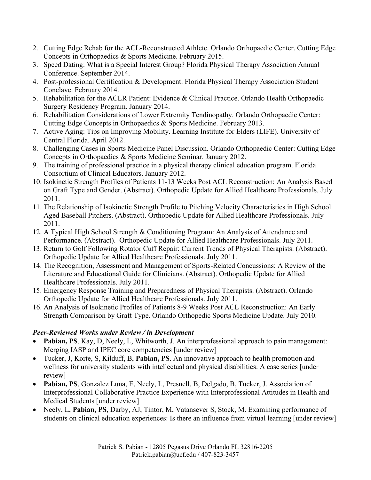- 2. Cutting Edge Rehab for the ACL-Reconstructed Athlete. Orlando Orthopaedic Center. Cutting Edge Concepts in Orthopaedics & Sports Medicine. February 2015.
- 3. Speed Dating: What is a Special Interest Group? Florida Physical Therapy Association Annual Conference. September 2014.
- 4. Post-professional Certification & Development. Florida Physical Therapy Association Student Conclave. February 2014.
- 5. Rehabilitation for the ACLR Patient: Evidence & Clinical Practice. Orlando Health Orthopaedic Surgery Residency Program. January 2014.
- 6. Rehabilitation Considerations of Lower Extremity Tendinopathy. Orlando Orthopaedic Center: Cutting Edge Concepts in Orthopaedics & Sports Medicine. February 2013.
- 7. Active Aging: Tips on Improving Mobility. Learning Institute for Elders (LIFE). University of Central Florida. April 2012.
- 8. Challenging Cases in Sports Medicine Panel Discussion. Orlando Orthopaedic Center: Cutting Edge Concepts in Orthopaedics & Sports Medicine Seminar. January 2012.
- 9. The training of professional practice in a physical therapy clinical education program. Florida Consortium of Clinical Educators. January 2012.
- 10. Isokinetic Strength Profiles of Patients 11-13 Weeks Post ACL Reconstruction: An Analysis Based on Graft Type and Gender. (Abstract). Orthopedic Update for Allied Healthcare Professionals. July 2011.
- 11. The Relationship of Isokinetic Strength Profile to Pitching Velocity Characteristics in High School Aged Baseball Pitchers. (Abstract). Orthopedic Update for Allied Healthcare Professionals. July 2011.
- 12. A Typical High School Strength & Conditioning Program: An Analysis of Attendance and Performance. (Abstract). Orthopedic Update for Allied Healthcare Professionals. July 2011.
- 13. Return to Golf Following Rotator Cuff Repair: Current Trends of Physical Therapists. (Abstract). Orthopedic Update for Allied Healthcare Professionals. July 2011.
- 14. The Recognition, Assessment and Management of Sports-Related Concussions: A Review of the Literature and Educational Guide for Clinicians. (Abstract). Orthopedic Update for Allied Healthcare Professionals. July 2011.
- 15. Emergency Response Training and Preparedness of Physical Therapists. (Abstract). Orlando Orthopedic Update for Allied Healthcare Professionals. July 2011.
- 16. An Analysis of Isokinetic Profiles of Patients 8-9 Weeks Post ACL Reconstruction: An Early Strength Comparison by Graft Type. Orlando Orthopedic Sports Medicine Update. July 2010.

### *Peer-Reviewed Works under Review / in Development*

- **Pabian, PS**, Kay, D, Neely, L, Whitworth, J. An interprofessional approach to pain management: Merging IASP and IPEC core competencies [under review]
- Tucker, J, Korte, S, Kilduff, B, **Pabian, PS**. An innovative approach to health promotion and wellness for university students with intellectual and physical disabilities: A case series [under review]
- **Pabian, PS**, Gonzalez Luna, E, Neely, L, Presnell, B, Delgado, B, Tucker, J. Association of Interprofessional Collaborative Practice Experience with Interprofessional Attitudes in Health and Medical Students [under review]
- Neely, L, **Pabian, PS**, Darby, AJ, Tintor, M, Vatansever S, Stock, M. Examining performance of students on clinical education experiences: Is there an influence from virtual learning [under review]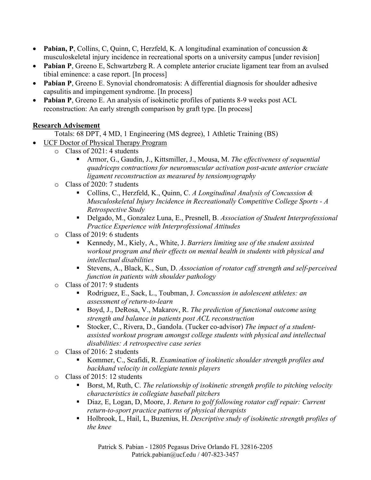- **Pabian, P**, Collins, C, Quinn, C, Herzfeld, K. A longitudinal examination of concussion & musculoskeletal injury incidence in recreational sports on a university campus [under revision]
- **Pabian P**, Greeno E, Schwartzberg R. A complete anterior cruciate ligament tear from an avulsed tibial eminence: a case report. [In process]
- **Pabian P**, Greeno E. Synovial chondromatosis: A differential diagnosis for shoulder adhesive capsulitis and impingement syndrome. [In process]
- **Pabian P**, Greeno E. An analysis of isokinetic profiles of patients 8-9 weeks post ACL reconstruction: An early strength comparison by graft type. [In process]

### **Research Advisement**

Totals: 68 DPT, 4 MD, 1 Engineering (MS degree), 1 Athletic Training (BS)

- UCF Doctor of Physical Therapy Program
	- o Class of 2021: 4 students
		- Armor, G., Gaudin, J., Kittsmiller, J., Mousa, M. *The effectiveness of sequential quadriceps contractions for neuromuscular activation post-acute anterior cruciate ligament reconstruction as measured by tensiomyography*
	- o Class of 2020: 7 students
		- Collins, C., Herzfeld, K., Quinn, C. *A Longitudinal Analysis of Concussion & Musculoskeletal Injury Incidence in Recreationally Competitive College Sports - A Retrospective Study*
		- Delgado, M., Gonzalez Luna, E., Presnell, B. *Association of Student Interprofessional Practice Experience with Interprofessional Attitudes*
	- o Class of 2019: 6 students
		- Kennedy, M., Kiely, A., White, J. *Barriers limiting use of the student assisted workout program and their effects on mental health in students with physical and intellectual disabilities*
		- Stevens, A., Black, K., Sun, D. *Association of rotator cuff strength and self-perceived function in patients with shoulder pathology*
	- o Class of 2017: 9 students
		- Rodriguez, E., Sack, L., Toubman, J. *Concussion in adolescent athletes: an assessment of return-to-learn*
		- Boyd, J., DeRosa, V., Makarov, R. *The prediction of functional outcome using strength and balance in patients post ACL reconstruction*
		- Stocker, C., Rivera, D., Gandola. (Tucker co-advisor) *The impact of a studentassisted workout program amongst college students with physical and intellectual disabilities: A retrospective case series*
	- o Class of 2016: 2 students
		- Kommer, C., Scafidi, R. *Examination of isokinetic shoulder strength profiles and backhand velocity in collegiate tennis players*
	- o Class of 2015: 12 students
		- Borst, M, Ruth, C. *The relationship of isokinetic strength profile to pitching velocity characteristics in collegiate baseball pitchers*
		- Diaz, E, Logan, D, Moore, J. *Return to golf following rotator cuff repair: Current return-to-sport practice patterns of physical therapists*
		- Holbrook, L, Hail, L, Buzenius, H. *Descriptive study of isokinetic strength profiles of the knee*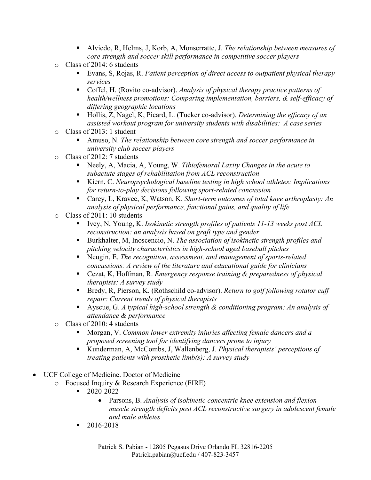- Alviedo, R, Helms, J, Korb, A, Monserratte, J. *The relationship between measures of core strength and soccer skill performance in competitive soccer players*
- o Class of 2014: 6 students
	- Evans, S, Rojas, R. *Patient perception of direct access to outpatient physical therapy services*
	- Coffel, H. (Rovito co-advisor). *Analysis of physical therapy practice patterns of health/wellness promotions: Comparing implementation, barriers, & self-efficacy of differing geographic locations*
	- Hollis, Z, Nagel, K, Picard, L. (Tucker co-advisor). *Determining the efficacy of an assisted workout program for university students with disabilities: A case series*
- o Class of 2013: 1 student
	- Amuso, N. *The relationship between core strength and soccer performance in university club soccer players*
- o Class of 2012: 7 students
	- Neely, A, Macia, A, Young, W. *Tibiofemoral Laxity Changes in the acute to subactute stages of rehabilitation from ACL reconstruction*
	- Kiern, C. *Neuropsychological baseline testing in high school athletes: Implications for return-to-play decisions following sport-related concussion*
	- Carey, L, Kravec, K, Watson, K. *Short-term outcomes of total knee arthroplasty: An analysis of physical performance, functional gains, and quality of life*
- o Class of 2011: 10 students
	- Ivey, N, Young, K. *Isokinetic strength profiles of patients 11-13 weeks post ACL reconstruction: an analysis based on graft type and gender*
	- Burkhalter, M, Inoscencio, N. *The association of isokinetic strength profiles and pitching velocity characteristics in high-school aged baseball pitches*
	- Neugin, E. *The recognition, assessment, and management of sports-related concussions: A review of the literature and educational guide for clinicians*
	- Cezat, K, Hoffman, R. *Emergency response training & preparedness of physical therapists: A survey study*
	- Bredy, R, Pierson, K. (Rothschild co-advisor). *Return to golf following rotator cuff repair: Current trends of physical therapists*
	- Ayscue, G. *A* t*ypical high-school strength & conditioning program: An analysis of attendance & performance*
- o Class of 2010: 4 students
	- Morgan, V. *Common lower extremity injuries affecting female dancers and a proposed screening tool for identifying dancers prone to injury*
	- Kunderman, A, McCombs, J, Wallenberg, J. *Physical therapists' perceptions of treating patients with prosthetic limb(s): A survey study*
- UCF College of Medicine. Doctor of Medicine
	- o Focused Inquiry & Research Experience (FIRE)
		- $-2020-2022$ 
			- Parsons, B. *Analysis of isokinetic concentric knee extension and flexion muscle strength deficits post ACL reconstructive surgery in adolescent female and male athletes*
		- $-2016 2018$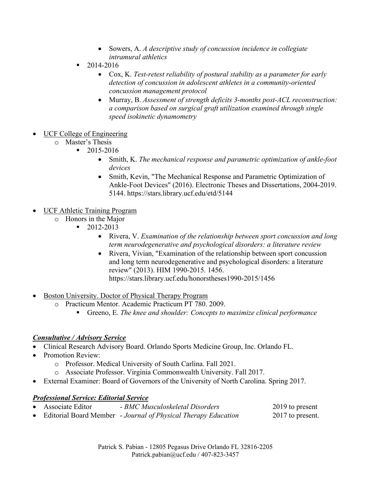- Sowers, A. *A descriptive study of concussion incidence in collegiate intramural athletics*
- $-2014-2016$ 
	- Cox, K. *Test-retest reliability of postural stability as a parameter for early detection of concussion in adolescent athletes in a community-oriented concussion management protocol*
	- Murray, B. *Assessment of strength deficits 3-months post-ACL reconstruction: a comparison based on surgical graft utilization examined through single speed isokinetic dynamometry*
- UCF College of Engineering
	- o Master's Thesis
		- $-2015 2016$ 
			- Smith, K. *The mechanical response and parametric optimization of ankle-foot devices*
			- Smith, Kevin, "The Mechanical Response and Parametric Optimization of Ankle-Foot Devices" (2016). Electronic Theses and Dissertations, 2004-2019. 5144. https://stars.library.ucf.edu/etd/5144
- UCF Athletic Training Program
	- $\circ$  Honors in the Major
		- 2012-2013
			- Rivera, V. *Examination of the relationship between sport concussion and long term neurodegenerative and psychological disorders: a literature review*
			- Rivera, Vivian, "Examination of the relationship between sport concussion and long term neurodegenerative and psychological disorders: a literature review" (2013). HIM 1990-2015. 1456. https://stars.library.ucf.edu/honorstheses1990-2015/1456
- Boston University. Doctor of Physical Therapy Program
	- o Practicum Mentor. Academic Practicum PT 780. 2009.
		- Greeno, E. *The knee and shoulder: Concepts to maximize clinical performance*

#### *Consultative / Advisory Service*

- Clinical Research Advisory Board. Orlando Sports Medicine Group, Inc. Orlando FL.
- Promotion Review:
	- o Professor. Medical University of South Carlina. Fall 2021.
	- o Associate Professor. Virginia Commonwealth University. Fall 2017.
- External Examiner: Board of Governors of the University of North Carolina. Spring 2017.

#### *Professional Service: Editorial Service*

- Associate Editor *BMC Musculoskeletal Disorders* 2019 to present
- Editorial Board Member *Journal of Physical Therapy Education* 2017 to present.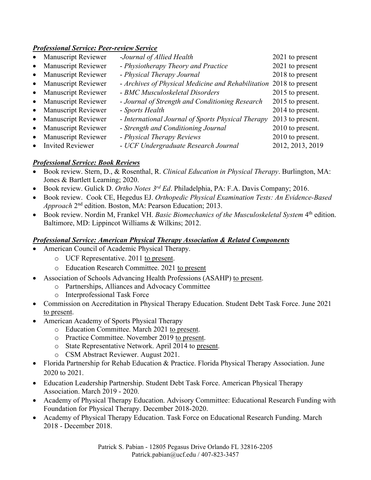#### *Professional Service: Peer-review Service*

| • Manuscript Reviewer | -Journal of Allied Health                          | 2021 to present  |
|-----------------------|----------------------------------------------------|------------------|
| • Manuscript Reviewer | - Physiotherapy Theory and Practice                | 2021 to present  |
| • Manuscript Reviewer | - Physical Therapy Journal                         | 2018 to present  |
| • Manuscript Reviewer | - Archives of Physical Medicine and Rehabilitation | 2018 to present  |
| • Manuscript Reviewer | - BMC Musculoskeletal Disorders                    | 2015 to present. |
| • Manuscript Reviewer | - Journal of Strength and Conditioning Research    | 2015 to present. |
| • Manuscript Reviewer | - Sports Health                                    | 2014 to present. |
| • Manuscript Reviewer | - International Journal of Sports Physical Therapy | 2013 to present. |
| • Manuscript Reviewer | - Strength and Conditioning Journal                | 2010 to present. |
| • Manuscript Reviewer | - Physical Therapy Reviews                         | 2010 to present. |
| • Invited Reviewer    | - UCF Undergraduate Research Journal               | 2012, 2013, 2019 |

#### *Professional Service: Book Reviews*

- Book review. Stern, D., & Rosenthal, R. *Clinical Education in Physical Therapy*. Burlington, MA: Jones & Bartlett Learning; 2020.
- Book review. Gulick D. *Ortho Notes 3rd Ed*. Philadelphia, PA: F.A. Davis Company; 2016.
- Book review. Cook CE, Hegedus EJ. *Orthopedic Physical Examination Tests: An Evidence-Based Approach* 2nd edition. Boston, MA: Pearson Education; 2013.
- Book review. Nordin M, Frankel VH. *Basic Biomechanics of the Musculoskeletal System* 4th edition. Baltimore, MD: Lippincot Williams & Wilkins; 2012.

#### *Professional Service: American Physical Therapy Association & Related Components*

- American Council of Academic Physical Therapy.
	- o UCF Representative. 2011 to present.
	- o Education Research Committee. 2021 to present
	- Association of Schools Advancing Health Professions (ASAHP) to present.
		- o Partnerships, Alliances and Advocacy Committee
		- o Interprofessional Task Force
- Commission on Accreditation in Physical Therapy Education. Student Debt Task Force. June 2021 to present.
- American Academy of Sports Physical Therapy
	- o Education Committee. March 2021 to present.
	- o Practice Committee. November 2019 to present.
	- o State Representative Network. April 2014 to present.
	- o CSM Abstract Reviewer. August 2021.
- Florida Partnership for Rehab Education & Practice. Florida Physical Therapy Association. June 2020 to 2021.
- Education Leadership Partnership. Student Debt Task Force. American Physical Therapy Association. March 2019 - 2020.
- Academy of Physical Therapy Education. Advisory Committee: Educational Research Funding with Foundation for Physical Therapy. December 2018-2020.
- Academy of Physical Therapy Education. Task Force on Educational Research Funding. March 2018 - December 2018.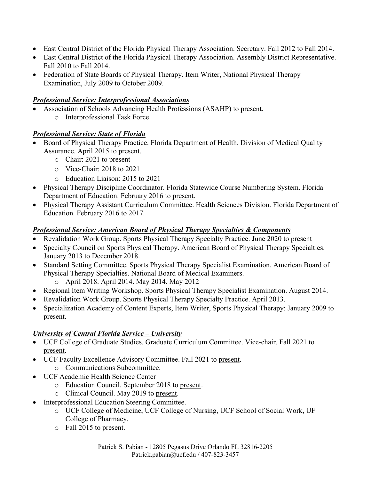- East Central District of the Florida Physical Therapy Association. Secretary. Fall 2012 to Fall 2014.
- East Central District of the Florida Physical Therapy Association. Assembly District Representative. Fall 2010 to Fall 2014.
- Federation of State Boards of Physical Therapy. Item Writer, National Physical Therapy Examination, July 2009 to October 2009.

#### *Professional Service: Interprofessional Associations*

- Association of Schools Advancing Health Professions (ASAHP) to present.
	- o Interprofessional Task Force

#### *Professional Service: State of Florida*

- Board of Physical Therapy Practice. Florida Department of Health. Division of Medical Quality Assurance. April 2015 to present.
	- o Chair: 2021 to present
	- o Vice-Chair: 2018 to 2021
	- o Education Liaison: 2015 to 2021
- Physical Therapy Discipline Coordinator. Florida Statewide Course Numbering System. Florida Department of Education. February 2016 to present.
- Physical Therapy Assistant Curriculum Committee. Health Sciences Division. Florida Department of Education. February 2016 to 2017.

#### *Professional Service: American Board of Physical Therapy Specialties & Components*

- Revalidation Work Group. Sports Physical Therapy Specialty Practice. June 2020 to present
- Specialty Council on Sports Physical Therapy. American Board of Physical Therapy Specialties. January 2013 to December 2018.
- Standard Setting Committee. Sports Physical Therapy Specialist Examination. American Board of Physical Therapy Specialties. National Board of Medical Examiners.
	- o April 2018. April 2014. May 2014. May 2012
- Regional Item Writing Workshop. Sports Physical Therapy Specialist Examination. August 2014.
- Revalidation Work Group. Sports Physical Therapy Specialty Practice. April 2013.
- Specialization Academy of Content Experts, Item Writer, Sports Physical Therapy: January 2009 to present.

#### *University of Central Florida Service – University*

- UCF College of Graduate Studies. Graduate Curriculum Committee. Vice-chair. Fall 2021 to present.
- UCF Faculty Excellence Advisory Committee. Fall 2021 to present. o Communications Subcommittee.
- UCF Academic Health Science Center
	- o Education Council. September 2018 to present.
	- o Clinical Council. May 2019 to present.
- Interprofessional Education Steering Committee.
	- o UCF College of Medicine, UCF College of Nursing, UCF School of Social Work, UF College of Pharmacy.
	- o Fall 2015 to present.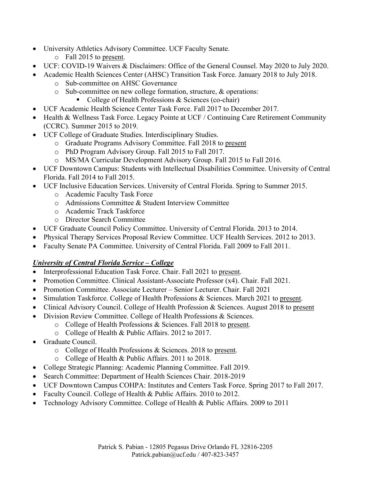- University Athletics Advisory Committee. UCF Faculty Senate.
	- o Fall 2015 to present.
- UCF: COVID-19 Waivers & Disclaimers: Office of the General Counsel. May 2020 to July 2020.
- Academic Health Sciences Center (AHSC) Transition Task Force. January 2018 to July 2018.
	- o Sub-committee on AHSC Governance
	- o Sub-committee on new college formation, structure, & operations:
		- College of Health Professions & Sciences (co-chair)
- UCF Academic Health Science Center Task Force. Fall 2017 to December 2017.
- Health & Wellness Task Force. Legacy Pointe at UCF / Continuing Care Retirement Community (CCRC). Summer 2015 to 2019.
- UCF College of Graduate Studies. Interdisciplinary Studies.
	- o Graduate Programs Advisory Committee. Fall 2018 to present
	- o PhD Program Advisory Group. Fall 2015 to Fall 2017.
	- o MS/MA Curricular Development Advisory Group. Fall 2015 to Fall 2016.
- UCF Downtown Campus: Students with Intellectual Disabilities Committee. University of Central Florida. Fall 2014 to Fall 2015.
- UCF Inclusive Education Services. University of Central Florida. Spring to Summer 2015.
	- o Academic Faculty Task Force
	- o Admissions Committee & Student Interview Committee
	- o Academic Track Taskforce
	- o Director Search Committee
- UCF Graduate Council Policy Committee. University of Central Florida. 2013 to 2014.
- Physical Therapy Services Proposal Review Committee. UCF Health Services. 2012 to 2013.
- Faculty Senate PA Committee. University of Central Florida. Fall 2009 to Fall 2011.

### *University of Central Florida Service – College*

- Interprofessional Education Task Force. Chair. Fall 2021 to present.
- Promotion Committee. Clinical Assistant-Associate Professor (x4). Chair. Fall 2021.
- Promotion Committee. Associate Lecturer Senior Lecturer. Chair. Fall 2021
- Simulation Taskforce. College of Health Professions & Sciences. March 2021 to present.
- Clinical Advisory Council. College of Health Profession & Sciences. August 2018 to present
- Division Review Committee. College of Health Professions & Sciences.
	- o College of Health Professions & Sciences. Fall 2018 to present.
	- o College of Health & Public Affairs. 2012 to 2017.
- Graduate Council.
	- o College of Health Professions & Sciences. 2018 to present.
	- o College of Health & Public Affairs. 2011 to 2018.
- College Strategic Planning: Academic Planning Committee. Fall 2019.
- Search Committee: Department of Health Sciences Chair. 2018-2019
- UCF Downtown Campus COHPA: Institutes and Centers Task Force. Spring 2017 to Fall 2017.
- Faculty Council. College of Health & Public Affairs. 2010 to 2012.
- Technology Advisory Committee. College of Health & Public Affairs. 2009 to 2011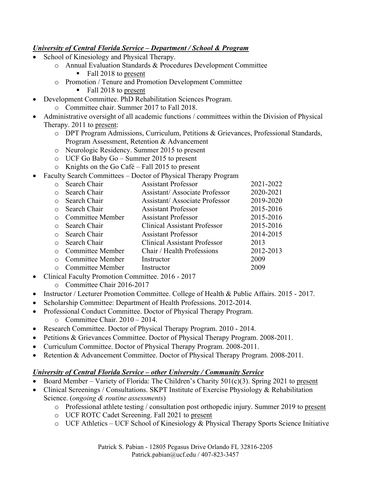#### *University of Central Florida Service – Department / School & Program*

- School of Kinesiology and Physical Therapy.
	- o Annual Evaluation Standards & Procedures Development Committee
		- Fall 2018 to present
	- o Promotion / Tenure and Promotion Development Committee
		- Fall 2018 to present
	- Development Committee. PhD Rehabilitation Sciences Program.
		- o Committee chair. Summer 2017 to Fall 2018.
- Administrative oversight of all academic functions / committees within the Division of Physical Therapy. 2011 to present:
	- o DPT Program Admissions, Curriculum, Petitions & Grievances, Professional Standards, Program Assessment, Retention & Advancement
	- o Neurologic Residency. Summer 2015 to present
	- o UCF Go Baby Go Summer 2015 to present
	- o Knights on the Go Café Fall 2015 to present
- Faculty Search Committees Doctor of Physical Therapy Program

|           | Search Chair                                                              | <b>Assistant Professor</b>           | 2021-2022 |
|-----------|---------------------------------------------------------------------------|--------------------------------------|-----------|
|           | Search Chair                                                              | <b>Assistant/Associate Professor</b> | 2020-2021 |
| ∩         | Search Chair                                                              | <b>Assistant/Associate Professor</b> | 2019-2020 |
| $\bigcap$ | Search Chair                                                              | <b>Assistant Professor</b>           | 2015-2016 |
|           | Committee Member                                                          | <b>Assistant Professor</b>           | 2015-2016 |
| $\bigcap$ | Search Chair                                                              | <b>Clinical Assistant Professor</b>  | 2015-2016 |
| $\cap$    | Search Chair                                                              | <b>Assistant Professor</b>           | 2014-2015 |
| $\bigcap$ | Search Chair                                                              | <b>Clinical Assistant Professor</b>  | 2013      |
|           | Committee Member                                                          | Chair / Health Professions           | 2012-2013 |
| $\cap$    | Committee Member                                                          | Instructor                           | 2009      |
|           | Committee Member                                                          | Instructor                           | 2009      |
|           | $\sim$ 1 F, $\sim$ 1+, D, $\sim$ 1, $\sim$ C, $\sim$ 1+, $\sim$ 2016 2017 |                                      |           |

- Clinical Faculty Promotion Committee. 2016 2017
	- o Committee Chair 2016-2017
- Instructor / Lecturer Promotion Committee. College of Health & Public Affairs. 2015 2017.
- Scholarship Committee: Department of Health Professions. 2012-2014.
- Professional Conduct Committee. Doctor of Physical Therapy Program.
	- o Committee Chair. 2010 2014.
- Research Committee. Doctor of Physical Therapy Program. 2010 2014.
- Petitions & Grievances Committee. Doctor of Physical Therapy Program. 2008-2011.
- Curriculum Committee. Doctor of Physical Therapy Program. 2008-2011.
- Retention & Advancement Committee. Doctor of Physical Therapy Program. 2008-2011.

#### *University of Central Florida Service – other University / Community Service*

- Board Member Variety of Florida: The Children's Charity  $501(c)(3)$ . Spring 2021 to present
- Clinical Screenings / Consultations. SKPT Institute of Exercise Physiology & Rehabilitation Science. (*ongoing & routine assessments*)
	- o Professional athlete testing / consultation post orthopedic injury. Summer 2019 to present
	- o UCF ROTC Cadet Screening. Fall 2021 to present
	- o UCF Athletics UCF School of Kinesiology & Physical Therapy Sports Science Initiative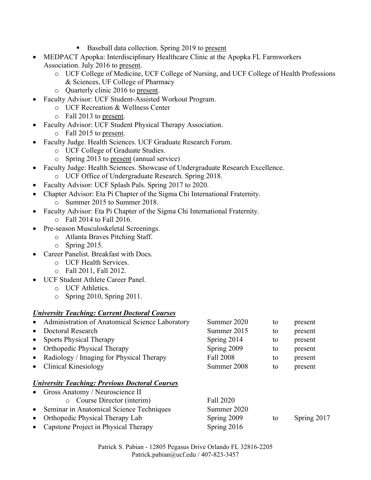- Baseball data collection. Spring 2019 to present
- MEDPACT Apopka: Interdisciplinary Healthcare Clinic at the Apopka FL Farmworkers Association. July 2016 to present.
	- o UCF College of Medicine, UCF College of Nursing, and UCF College of Health Professions & Sciences, UF College of Pharmacy
	- o Quarterly clinic 2016 to present.
- Faculty Advisor: UCF Student-Assisted Workout Program.
	- o UCF Recreation & Wellness Center
	- o Fall 2013 to present.
- Faculty Advisor: UCF Student Physical Therapy Association.
	- o Fall 2015 to present.
- Faculty Judge. Health Sciences. UCF Graduate Research Forum.
	- o UCF College of Graduate Studies.
	- o Spring 2013 to present (annual service)
- Faculty Judge: Health Sciences. Showcase of Undergraduate Research Excellence.
	- o UCF Office of Undergraduate Research. Spring 2018.
- Faculty Advisor: UCF Splash Pals. Spring 2017 to 2020.
- Chapter Advisor: Eta Pi Chapter of the Sigma Chi International Fraternity.
	- o Summer 2015 to Summer 2018.
- Faculty Advisor: Eta Pi Chapter of the Sigma Chi International Fraternity.
	- o Fall 2014 to Fall 2016.
- Pre-season Musculoskeletal Screenings.
	- o Atlanta Braves Pitching Staff.
	- o Spring 2015.
- Career Panelist. Breakfast with Docs.
	- o UCF Health Services.
	- o Fall 2011, Fall 2012.
- UCF Student Athlete Career Panel.
	- o UCF Athletics.
	- o Spring 2010, Spring 2011.

#### *University Teaching: Current Doctoral Courses*

| Administration of Anatomical Science Laboratory<br>$\bullet$ | Summer 2020 | to | present |  |
|--------------------------------------------------------------|-------------|----|---------|--|
| Doctoral Research<br>$\bullet$                               | Summer 2015 | to | present |  |
| <b>Sports Physical Therapy</b><br>$\bullet$                  | Spring 2014 | to | present |  |
| • Orthopedic Physical Therapy                                | Spring 2009 | to | present |  |
| • Radiology / Imaging for Physical Therapy                   | Fall 2008   | to | present |  |
| • Clinical Kinesiology                                       | Summer 2008 | to | present |  |
| <b>University Teaching: Previous Doctoral Courses</b>        |             |    |         |  |
| Gross Anatomy / Neuroscience II<br>$\bullet$                 |             |    |         |  |

o Course Director (interim) Fall 2020 • Seminar in Anatomical Science Techniques Summer 2020 • Orthopedic Physical Therapy Lab Spring 2009 to Spring 2017 • Capstone Project in Physical Therapy Spring 2016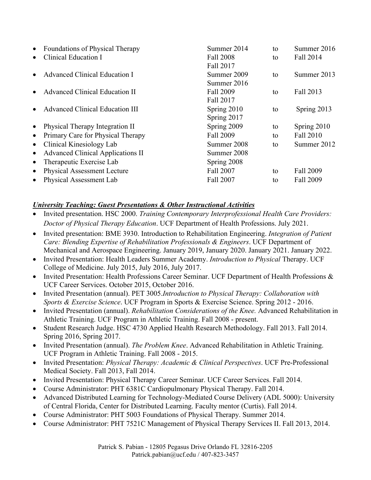| $\bullet$ | <b>Foundations of Physical Therapy</b>   | Summer 2014 | to | Summer 2016 |
|-----------|------------------------------------------|-------------|----|-------------|
|           | Clinical Education I                     | Fall 2008   | to | Fall 2014   |
|           |                                          | Fall 2017   |    |             |
|           | <b>Advanced Clinical Education I</b>     | Summer 2009 | to | Summer 2013 |
|           |                                          | Summer 2016 |    |             |
|           | <b>Advanced Clinical Education II</b>    | Fall 2009   | to | Fall 2013   |
|           |                                          | Fall 2017   |    |             |
|           | <b>Advanced Clinical Education III</b>   | Spring 2010 | to | Spring 2013 |
|           |                                          | Spring 2017 |    |             |
| $\bullet$ | Physical Therapy Integration II          | Spring 2009 | to | Spring 2010 |
| $\bullet$ | Primary Care for Physical Therapy        | Fall 2009   | to | Fall 2010   |
| $\bullet$ | Clinical Kinesiology Lab                 | Summer 2008 | to | Summer 2012 |
| $\bullet$ | <b>Advanced Clinical Applications II</b> | Summer 2008 |    |             |
| $\bullet$ | Therapeutic Exercise Lab                 | Spring 2008 |    |             |
| $\bullet$ | <b>Physical Assessment Lecture</b>       | Fall 2007   | to | Fall 2009   |
| $\bullet$ | Physical Assessment Lab                  | Fall 2007   | to | Fall 2009   |
|           |                                          |             |    |             |

### *University Teaching: Guest Presentations & Other Instructional Activities*

- Invited presentation. HSC 2000. *Training Contemporary Interprofessional Health Care Providers: Doctor of Physical Therapy Education*. UCF Department of Health Professions. July 2021.
- Invited presentation: BME 3930. Introduction to Rehabilitation Engineering. *Integration of Patient Care: Blending Expertise of Rehabilitation Professionals & Engineers*. UCF Department of Mechanical and Aerospace Engineering. January 2019, January 2020. January 2021. January 2022.
- Invited Presentation: Health Leaders Summer Academy. *Introduction to Physical* Therapy. UCF College of Medicine. July 2015, July 2016, July 2017.
- Invited Presentation: Health Professions Career Seminar. UCF Department of Health Professions & UCF Career Services. October 2015, October 2016.
- Invited Presentation (annual). PET 3005.*Introduction to Physical Therapy: Collaboration with Sports & Exercise Science*. UCF Program in Sports & Exercise Science. Spring 2012 - 2016.
- Invited Presentation (annual). *Rehabilitation Considerations of the Knee.* Advanced Rehabilitation in Athletic Training. UCF Program in Athletic Training. Fall 2008 - present.
- Student Research Judge. HSC 4730 Applied Health Research Methodology. Fall 2013. Fall 2014. Spring 2016, Spring 2017.
- Invited Presentation (annual). *The Problem Knee*. Advanced Rehabilitation in Athletic Training. UCF Program in Athletic Training. Fall 2008 - 2015.
- Invited Presentation: *Physical Therapy: Academic & Clinical Perspectives*. UCF Pre-Professional Medical Society. Fall 2013, Fall 2014.
- Invited Presentation: Physical Therapy Career Seminar. UCF Career Services. Fall 2014.
- Course Administrator: PHT 6381C Cardiopulmonary Physical Therapy. Fall 2014.
- Advanced Distributed Learning for Technology-Mediated Course Delivery (ADL 5000): University of Central Florida, Center for Distributed Learning. Faculty mentor (Curtis). Fall 2014.
- Course Administrator: PHT 5003 Foundations of Physical Therapy. Summer 2014.
- Course Administrator: PHT 7521C Management of Physical Therapy Services II. Fall 2013, 2014.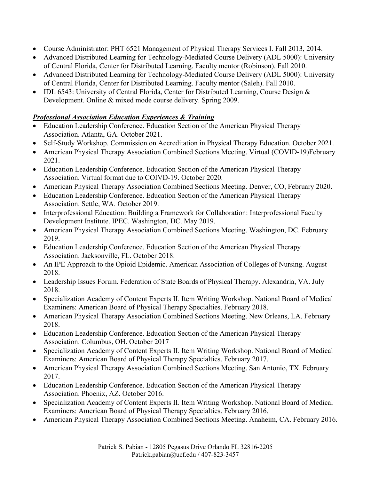- Course Administrator: PHT 6521 Management of Physical Therapy Services I. Fall 2013, 2014.
- Advanced Distributed Learning for Technology-Mediated Course Delivery (ADL 5000): University of Central Florida, Center for Distributed Learning. Faculty mentor (Robinson). Fall 2010.
- Advanced Distributed Learning for Technology-Mediated Course Delivery (ADL 5000): University of Central Florida, Center for Distributed Learning. Faculty mentor (Saleh). Fall 2010.
- IDL 6543: University of Central Florida, Center for Distributed Learning, Course Design & Development. Online & mixed mode course delivery. Spring 2009.

#### *Professional Association Education Experiences & Training*

- Education Leadership Conference. Education Section of the American Physical Therapy Association. Atlanta, GA. October 2021.
- Self-Study Workshop. Commission on Accreditation in Physical Therapy Education. October 2021.
- American Physical Therapy Association Combined Sections Meeting. Virtual (COVID-19)February 2021.
- Education Leadership Conference. Education Section of the American Physical Therapy Association. Virtual format due to COIVD-19. October 2020.
- American Physical Therapy Association Combined Sections Meeting. Denver, CO, February 2020.
- Education Leadership Conference. Education Section of the American Physical Therapy Association. Settle, WA. October 2019.
- Interprofessional Education: Building a Framework for Collaboration: Interprofessional Faculty Development Institute. IPEC. Washington, DC. May 2019.
- American Physical Therapy Association Combined Sections Meeting. Washington, DC. February 2019.
- Education Leadership Conference. Education Section of the American Physical Therapy Association. Jacksonville, FL. October 2018.
- An IPE Approach to the Opioid Epidemic. American Association of Colleges of Nursing. August 2018.
- Leadership Issues Forum. Federation of State Boards of Physical Therapy. Alexandria, VA. July 2018.
- Specialization Academy of Content Experts II. Item Writing Workshop. National Board of Medical Examiners: American Board of Physical Therapy Specialties. February 2018.
- American Physical Therapy Association Combined Sections Meeting. New Orleans, LA. February 2018.
- Education Leadership Conference. Education Section of the American Physical Therapy Association. Columbus, OH. October 2017
- Specialization Academy of Content Experts II. Item Writing Workshop. National Board of Medical Examiners: American Board of Physical Therapy Specialties. February 2017.
- American Physical Therapy Association Combined Sections Meeting. San Antonio, TX. February 2017.
- Education Leadership Conference. Education Section of the American Physical Therapy Association. Phoenix, AZ. October 2016.
- Specialization Academy of Content Experts II. Item Writing Workshop. National Board of Medical Examiners: American Board of Physical Therapy Specialties. February 2016.
- American Physical Therapy Association Combined Sections Meeting. Anaheim, CA. February 2016.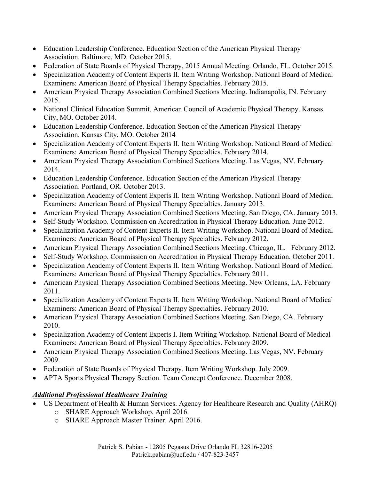- Education Leadership Conference. Education Section of the American Physical Therapy Association. Baltimore, MD. October 2015.
- Federation of State Boards of Physical Therapy, 2015 Annual Meeting. Orlando, FL. October 2015.
- Specialization Academy of Content Experts II. Item Writing Workshop. National Board of Medical Examiners: American Board of Physical Therapy Specialties. February 2015.
- American Physical Therapy Association Combined Sections Meeting. Indianapolis, IN. February 2015.
- National Clinical Education Summit. American Council of Academic Physical Therapy. Kansas City, MO. October 2014.
- Education Leadership Conference. Education Section of the American Physical Therapy Association. Kansas City, MO. October 2014
- Specialization Academy of Content Experts II. Item Writing Workshop. National Board of Medical Examiners: American Board of Physical Therapy Specialties. February 2014.
- American Physical Therapy Association Combined Sections Meeting. Las Vegas, NV. February 2014.
- Education Leadership Conference. Education Section of the American Physical Therapy Association. Portland, OR. October 2013.
- Specialization Academy of Content Experts II. Item Writing Workshop. National Board of Medical Examiners: American Board of Physical Therapy Specialties. January 2013.
- American Physical Therapy Association Combined Sections Meeting. San Diego, CA. January 2013.
- Self-Study Workshop. Commission on Accreditation in Physical Therapy Education. June 2012.
- Specialization Academy of Content Experts II. Item Writing Workshop. National Board of Medical Examiners: American Board of Physical Therapy Specialties. February 2012.
- American Physical Therapy Association Combined Sections Meeting. Chicago, IL. February 2012.
- Self-Study Workshop. Commission on Accreditation in Physical Therapy Education. October 2011.
- Specialization Academy of Content Experts II. Item Writing Workshop. National Board of Medical Examiners: American Board of Physical Therapy Specialties. February 2011.
- American Physical Therapy Association Combined Sections Meeting. New Orleans, LA. February 2011.
- Specialization Academy of Content Experts II. Item Writing Workshop. National Board of Medical Examiners: American Board of Physical Therapy Specialties. February 2010.
- American Physical Therapy Association Combined Sections Meeting. San Diego, CA. February 2010.
- Specialization Academy of Content Experts I. Item Writing Workshop. National Board of Medical Examiners: American Board of Physical Therapy Specialties. February 2009.
- American Physical Therapy Association Combined Sections Meeting. Las Vegas, NV. February 2009.
- Federation of State Boards of Physical Therapy. Item Writing Workshop. July 2009.
- APTA Sports Physical Therapy Section. Team Concept Conference. December 2008.

# *Additional Professional Healthcare Training*

- US Department of Health & Human Services. Agency for Healthcare Research and Quality (AHRQ)
	- o SHARE Approach Workshop. April 2016.
	- o SHARE Approach Master Trainer. April 2016.